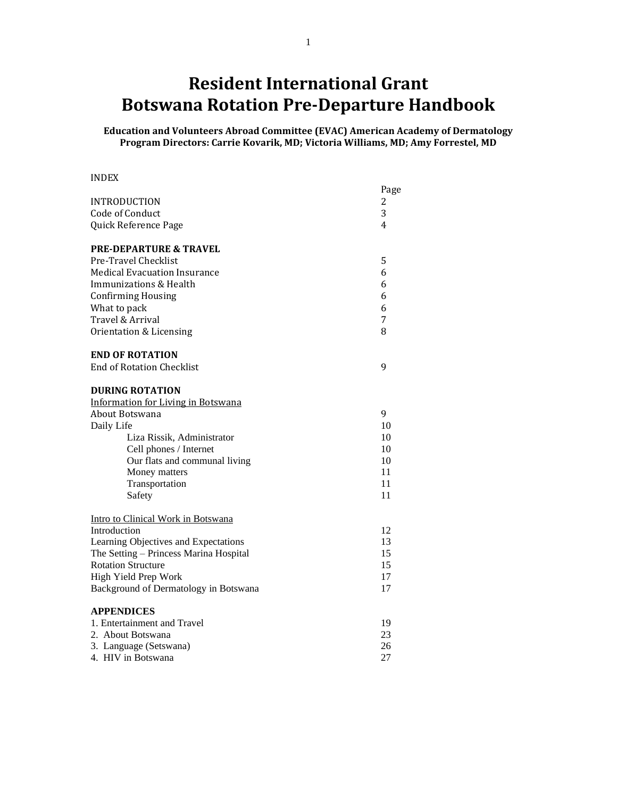# **Resident International Grant Botswana Rotation Pre-Departure Handbook**

**Education and Volunteers Abroad Committee (EVAC) American Academy of Dermatology Program Directors: Carrie Kovarik, MD; Victoria Williams, MD; Amy Forrestel, MD**

#### INDEX

|                                           | Page |
|-------------------------------------------|------|
| <b>INTRODUCTION</b>                       | 2    |
| Code of Conduct                           | 3    |
| Quick Reference Page                      | 4    |
| <b>PRE-DEPARTURE &amp; TRAVEL</b>         |      |
| Pre-Travel Checklist                      | 5    |
| <b>Medical Evacuation Insurance</b>       | 6    |
| Immunizations & Health                    | 6    |
| <b>Confirming Housing</b>                 | 6    |
| What to pack                              | 6    |
| Travel & Arrival                          | 7    |
| Orientation & Licensing                   | 8    |
| <b>END OF ROTATION</b>                    |      |
| <b>End of Rotation Checklist</b>          | 9    |
| <b>DURING ROTATION</b>                    |      |
| <b>Information for Living in Botswana</b> |      |
| About Botswana                            | 9    |
| Daily Life                                | 10   |
| Liza Rissik, Administrator                | 10   |
| Cell phones / Internet                    | 10   |
| Our flats and communal living             | 10   |
| Money matters                             | 11   |
| Transportation                            | 11   |
| Safety                                    | 11   |
| Intro to Clinical Work in Botswana        |      |
| Introduction                              | 12   |
| Learning Objectives and Expectations      | 13   |
| The Setting - Princess Marina Hospital    | 15   |
| <b>Rotation Structure</b>                 | 15   |
| High Yield Prep Work                      | 17   |
| Background of Dermatology in Botswana     | 17   |
| <b>APPENDICES</b>                         |      |
| 1. Entertainment and Travel               | 19   |
| 2. About Botswana                         | 23   |
| 3. Language (Setswana)                    | 26   |
| 4. HIV in Botswana                        | 27   |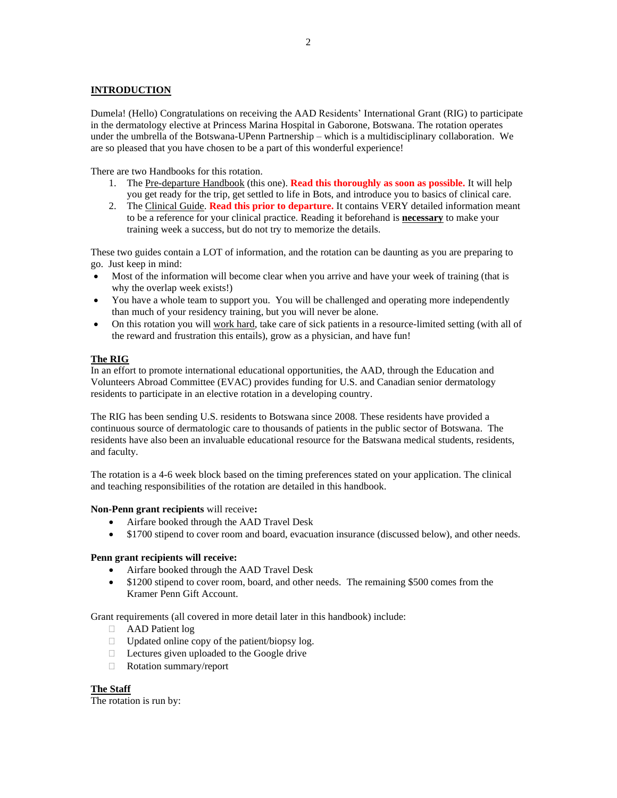#### **INTRODUCTION**

Dumela! (Hello) Congratulations on receiving the AAD Residents' International Grant (RIG) to participate in the dermatology elective at Princess Marina Hospital in Gaborone, Botswana. The rotation operates under the umbrella of the Botswana-UPenn Partnership – which is a multidisciplinary collaboration. We are so pleased that you have chosen to be a part of this wonderful experience!

There are two Handbooks for this rotation.

- 1. The Pre-departure Handbook (this one). **Read this thoroughly as soon as possible.** It will help you get ready for the trip, get settled to life in Bots, and introduce you to basics of clinical care.
- 2. The Clinical Guide. **Read this prior to departure.** It contains VERY detailed information meant to be a reference for your clinical practice. Reading it beforehand is **necessary** to make your training week a success, but do not try to memorize the details.

These two guides contain a LOT of information, and the rotation can be daunting as you are preparing to go. Just keep in mind:

- Most of the information will become clear when you arrive and have your week of training (that is why the overlap week exists!)
- You have a whole team to support you. You will be challenged and operating more independently than much of your residency training, but you will never be alone.
- On this rotation you will work hard, take care of sick patients in a resource-limited setting (with all of the reward and frustration this entails), grow as a physician, and have fun!

#### **The RIG**

In an effort to promote international educational opportunities, the AAD, through the Education and Volunteers Abroad Committee (EVAC) provides funding for U.S. and Canadian senior dermatology residents to participate in an elective rotation in a developing country.

The RIG has been sending U.S. residents to Botswana since 2008. These residents have provided a continuous source of dermatologic care to thousands of patients in the public sector of Botswana. The residents have also been an invaluable educational resource for the Batswana medical students, residents, and faculty.

The rotation is a 4-6 week block based on the timing preferences stated on your application. The clinical and teaching responsibilities of the rotation are detailed in this handbook.

#### **Non-Penn grant recipients** will receive**:**

- Airfare booked through the AAD Travel Desk
- \$1700 stipend to cover room and board, evacuation insurance (discussed below), and other needs.

#### **Penn grant recipients will receive:**

- Airfare booked through the AAD Travel Desk
- \$1200 stipend to cover room, board, and other needs. The remaining \$500 comes from the Kramer Penn Gift Account.

Grant requirements (all covered in more detail later in this handbook) include:

- AAD Patient log
- $\Box$  Updated online copy of the patient/biopsy log.
- $\Box$  Lectures given uploaded to the Google drive
- Rotation summary/report

#### **The Staff**

The rotation is run by: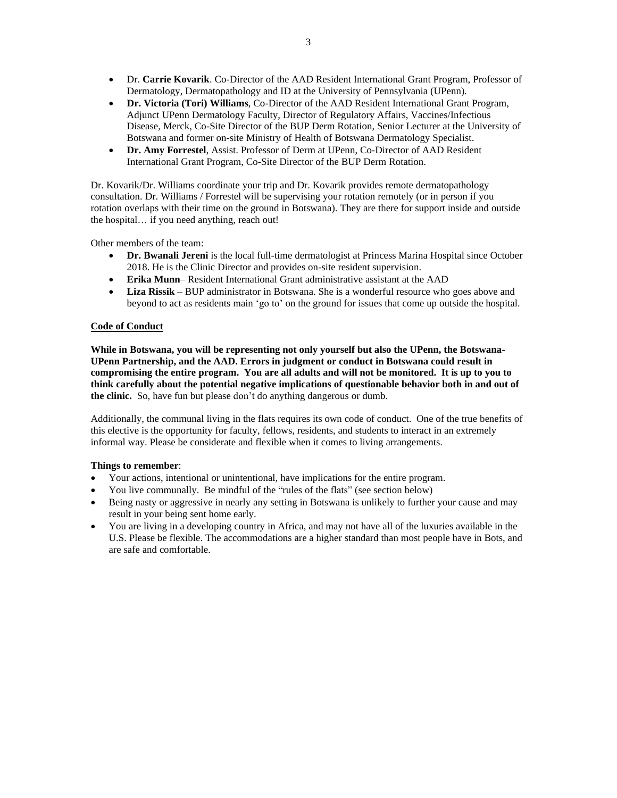- Dr. **Carrie Kovarik**. Co-Director of the AAD Resident International Grant Program, Professor of Dermatology, Dermatopathology and ID at the University of Pennsylvania (UPenn).
- **Dr. Victoria (Tori) Williams**, Co-Director of the AAD Resident International Grant Program, Adjunct UPenn Dermatology Faculty, Director of Regulatory Affairs, Vaccines/Infectious Disease, Merck, Co-Site Director of the BUP Derm Rotation, Senior Lecturer at the University of Botswana and former on-site Ministry of Health of Botswana Dermatology Specialist.
- **Dr. Amy Forrestel**, Assist. Professor of Derm at UPenn, Co-Director of AAD Resident International Grant Program, Co-Site Director of the BUP Derm Rotation.

Dr. Kovarik/Dr. Williams coordinate your trip and Dr. Kovarik provides remote dermatopathology consultation. Dr. Williams / Forrestel will be supervising your rotation remotely (or in person if you rotation overlaps with their time on the ground in Botswana). They are there for support inside and outside the hospital… if you need anything, reach out!

Other members of the team:

- **Dr. Bwanali Jereni** is the local full-time dermatologist at Princess Marina Hospital since October 2018. He is the Clinic Director and provides on-site resident supervision.
- **Erika Munn** Resident International Grant administrative assistant at the AAD
- **Liza Rissik** BUP administrator in Botswana. She is a wonderful resource who goes above and beyond to act as residents main 'go to' on the ground for issues that come up outside the hospital.

#### **Code of Conduct**

**While in Botswana, you will be representing not only yourself but also the UPenn, the Botswana-UPenn Partnership, and the AAD. Errors in judgment or conduct in Botswana could result in compromising the entire program. You are all adults and will not be monitored. It is up to you to think carefully about the potential negative implications of questionable behavior both in and out of the clinic.** So, have fun but please don't do anything dangerous or dumb.

Additionally, the communal living in the flats requires its own code of conduct. One of the true benefits of this elective is the opportunity for faculty, fellows, residents, and students to interact in an extremely informal way. Please be considerate and flexible when it comes to living arrangements.

#### **Things to remember**:

- Your actions, intentional or unintentional, have implications for the entire program.
- You live communally. Be mindful of the "rules of the flats" (see section below)
- Being nasty or aggressive in nearly any setting in Botswana is unlikely to further your cause and may result in your being sent home early.
- You are living in a developing country in Africa, and may not have all of the luxuries available in the U.S. Please be flexible. The accommodations are a higher standard than most people have in Bots, and are safe and comfortable.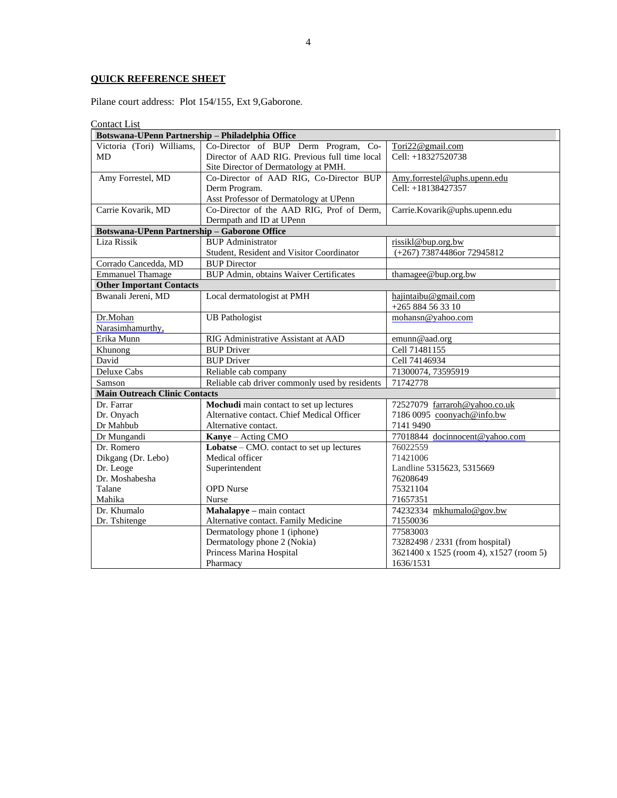## **QUICK REFERENCE SHEET**

Pilane court address: Plot 154/155, Ext 9,Gaborone.

Contact List

| Botswana-UPenn Partnership - Philadelphia Office    |                                                |                                         |
|-----------------------------------------------------|------------------------------------------------|-----------------------------------------|
| Victoria (Tori) Williams,                           | Co-Director of BUP Derm Program, Co-           | Tori22@gmail.com                        |
| <b>MD</b>                                           | Director of AAD RIG. Previous full time local  | Cell: +18327520738                      |
|                                                     | Site Director of Dermatology at PMH.           |                                         |
| Amy Forrestel, MD                                   | Co-Director of AAD RIG, Co-Director BUP        | Amy.forrestel@uphs.upenn.edu            |
|                                                     | Derm Program.                                  | Cell: +18138427357                      |
|                                                     | Asst Professor of Dermatology at UPenn         |                                         |
| Carrie Kovarik, MD                                  | Co-Director of the AAD RIG, Prof of Derm,      | Carrie.Kovarik@uphs.upenn.edu           |
|                                                     | Dermpath and ID at UPenn                       |                                         |
| <b>Botswana-UPenn Partnership - Gaborone Office</b> |                                                |                                         |
| Liza Rissik                                         | <b>BUP</b> Administrator                       | rissikl@bup.org.bw                      |
|                                                     | Student, Resident and Visitor Coordinator      | (+267) 73874486or 72945812              |
| Corrado Cancedda, MD                                | <b>BUP Director</b>                            |                                         |
| <b>Emmanuel Thamage</b>                             | <b>BUP Admin, obtains Waiver Certificates</b>  | thamagee@bup.org.bw                     |
| <b>Other Important Contacts</b>                     |                                                |                                         |
| Bwanali Jereni, MD                                  | Local dermatologist at PMH                     | hajintaibu@gmail.com                    |
|                                                     |                                                | +265 884 56 33 10                       |
| Dr.Mohan                                            | <b>UB</b> Pathologist                          | mohansn@yahoo.com                       |
| Narasimhamurthy,                                    |                                                |                                         |
| Erika Munn                                          | RIG Administrative Assistant at AAD            | emunn@aad.org                           |
| Khunong                                             | <b>BUP Driver</b>                              | Cell 71481155                           |
| David                                               | <b>BUP Driver</b>                              | Cell 74146934                           |
| <b>Deluxe Cabs</b>                                  | Reliable cab company                           | 71300074, 73595919                      |
| Samson                                              | Reliable cab driver commonly used by residents | 71742778                                |
| <b>Main Outreach Clinic Contacts</b>                |                                                |                                         |
| Dr. Farrar                                          | Mochudi main contact to set up lectures        | 72527079 farraroh@yahoo.co.uk           |
| Dr. Onyach                                          | Alternative contact. Chief Medical Officer     | 7186 0095 coonyach@info.bw              |
| Dr Mahbub                                           | Alternative contact.                           | 7141 9490                               |
| Dr Mungandi                                         | Kanye - Acting CMO                             | 77018844 docinnocent@yahoo.com          |
| Dr. Romero                                          | Lobatse – CMO. contact to set up lectures      | 76022559                                |
| Dikgang (Dr. Lebo)                                  | Medical officer                                | 71421006                                |
| Dr. Leoge                                           | Superintendent                                 | Landline 5315623, 5315669               |
| Dr. Moshabesha                                      |                                                | 76208649                                |
| Talane                                              | <b>OPD</b> Nurse                               | 75321104                                |
| Mahika                                              | Nurse                                          | 71657351                                |
| Dr. Khumalo                                         | Mahalapye - main contact                       | 74232334 mkhumalo@gov.bw                |
| Dr. Tshitenge                                       | Alternative contact. Family Medicine           | 71550036                                |
|                                                     | Dermatology phone 1 (iphone)                   | 77583003                                |
|                                                     | Dermatology phone 2 (Nokia)                    | 73282498 / 2331 (from hospital)         |
|                                                     | Princess Marina Hospital                       | 3621400 x 1525 (room 4), x1527 (room 5) |
|                                                     | Pharmacy                                       | 1636/1531                               |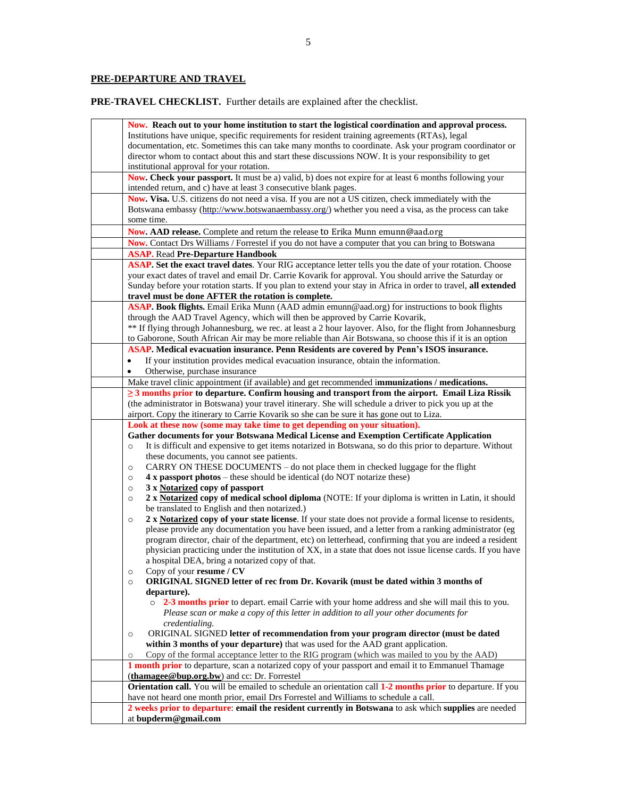## **PRE-DEPARTURE AND TRAVEL**

**PRE-TRAVEL CHECKLIST.** Further details are explained after the checklist.

| Now. Reach out to your home institution to start the logistical coordination and approval process.                                                                                                              |
|-----------------------------------------------------------------------------------------------------------------------------------------------------------------------------------------------------------------|
| Institutions have unique, specific requirements for resident training agreements (RTAs), legal                                                                                                                  |
| documentation, etc. Sometimes this can take many months to coordinate. Ask your program coordinator or                                                                                                          |
| director whom to contact about this and start these discussions NOW. It is your responsibility to get                                                                                                           |
| institutional approval for your rotation.                                                                                                                                                                       |
| Now. Check your passport. It must be a) valid, b) does not expire for at least 6 months following your                                                                                                          |
| intended return, and c) have at least 3 consecutive blank pages.                                                                                                                                                |
| Now. Visa. U.S. citizens do not need a visa. If you are not a US citizen, check immediately with the                                                                                                            |
| Botswana embassy (http://www.botswanaembassy.org/) whether you need a visa, as the process can take                                                                                                             |
| some time.                                                                                                                                                                                                      |
| Now. AAD release. Complete and return the release to Erika Munn emunn@aad.org                                                                                                                                   |
| Now. Contact Drs Williams / Forrestel if you do not have a computer that you can bring to Botswana                                                                                                              |
| <b>ASAP.</b> Read Pre-Departure Handbook                                                                                                                                                                        |
| ASAP. Set the exact travel dates. Your RIG acceptance letter tells you the date of your rotation. Choose                                                                                                        |
| your exact dates of travel and email Dr. Carrie Kovarik for approval. You should arrive the Saturday or                                                                                                         |
| Sunday before your rotation starts. If you plan to extend your stay in Africa in order to travel, all extended                                                                                                  |
| travel must be done AFTER the rotation is complete.                                                                                                                                                             |
| ASAP. Book flights. Email Erika Munn (AAD admin emunn@aad.org) for instructions to book flights                                                                                                                 |
| through the AAD Travel Agency, which will then be approved by Carrie Kovarik,                                                                                                                                   |
| ** If flying through Johannesburg, we rec. at least a 2 hour layover. Also, for the flight from Johannesburg                                                                                                    |
| to Gaborone, South African Air may be more reliable than Air Botswana, so choose this if it is an option                                                                                                        |
| ASAP. Medical evacuation insurance. Penn Residents are covered by Penn's ISOS insurance.                                                                                                                        |
| If your institution provides medical evacuation insurance, obtain the information.                                                                                                                              |
| Otherwise, purchase insurance                                                                                                                                                                                   |
| Make travel clinic appointment (if available) and get recommended immunizations / medications.                                                                                                                  |
| $\geq$ 3 months prior to departure. Confirm housing and transport from the airport. Email Liza Rissik                                                                                                           |
| (the administrator in Botswana) your travel itinerary. She will schedule a driver to pick you up at the                                                                                                         |
| airport. Copy the itinerary to Carrie Kovarik so she can be sure it has gone out to Liza.                                                                                                                       |
| Look at these now (some may take time to get depending on your situation).                                                                                                                                      |
| Gather documents for your Botswana Medical License and Exemption Certificate Application                                                                                                                        |
| It is difficult and expensive to get items notarized in Botswana, so do this prior to departure. Without<br>$\circ$                                                                                             |
| these documents, you cannot see patients.                                                                                                                                                                       |
| CARRY ON THESE DOCUMENTS – do not place them in checked luggage for the flight<br>$\circ$                                                                                                                       |
| 4 x passport photos – these should be identical (do NOT notarize these)<br>$\circ$                                                                                                                              |
| 3 x Notarized copy of passport<br>$\circ$                                                                                                                                                                       |
| 2 x Notarized copy of medical school diploma (NOTE: If your diploma is written in Latin, it should<br>$\circ$                                                                                                   |
| be translated to English and then notarized.)                                                                                                                                                                   |
|                                                                                                                                                                                                                 |
| $\circ$                                                                                                                                                                                                         |
| 2 x Notarized copy of your state license. If your state does not provide a formal license to residents,<br>please provide any documentation you have been issued, and a letter from a ranking administrator (eg |
| program director, chair of the department, etc) on letterhead, confirming that you are indeed a resident                                                                                                        |
| physician practicing under the institution of XX, in a state that does not issue license cards. If you have                                                                                                     |
| a hospital DEA, bring a notarized copy of that.                                                                                                                                                                 |
| Copy of your resume / CV                                                                                                                                                                                        |
| <b>ORIGINAL SIGNED letter of rec from Dr. Kovarik (must be dated within 3 months of</b><br>$\circ$                                                                                                              |
| departure).                                                                                                                                                                                                     |
| o 2-3 months prior to depart. email Carrie with your home address and she will mail this to you.                                                                                                                |
| Please scan or make a copy of this letter in addition to all your other documents for                                                                                                                           |
| credentialing.                                                                                                                                                                                                  |
| ORIGINAL SIGNED letter of recommendation from your program director (must be dated<br>$\circ$                                                                                                                   |
| within 3 months of your departure) that was used for the AAD grant application.                                                                                                                                 |
| Copy of the formal acceptance letter to the RIG program (which was mailed to you by the AAD)<br>$\circ$                                                                                                         |
| 1 month prior to departure, scan a notarized copy of your passport and email it to Emmanuel Thamage                                                                                                             |
| (thamagee@bup.org.bw) and cc: Dr. Forrestel                                                                                                                                                                     |
| Orientation call. You will be emailed to schedule an orientation call 1-2 months prior to departure. If you                                                                                                     |
| have not heard one month prior, email Drs Forrestel and Williams to schedule a call.                                                                                                                            |
| 2 weeks prior to departure: email the resident currently in Botswana to ask which supplies are needed<br>at bupderm@gmail.com                                                                                   |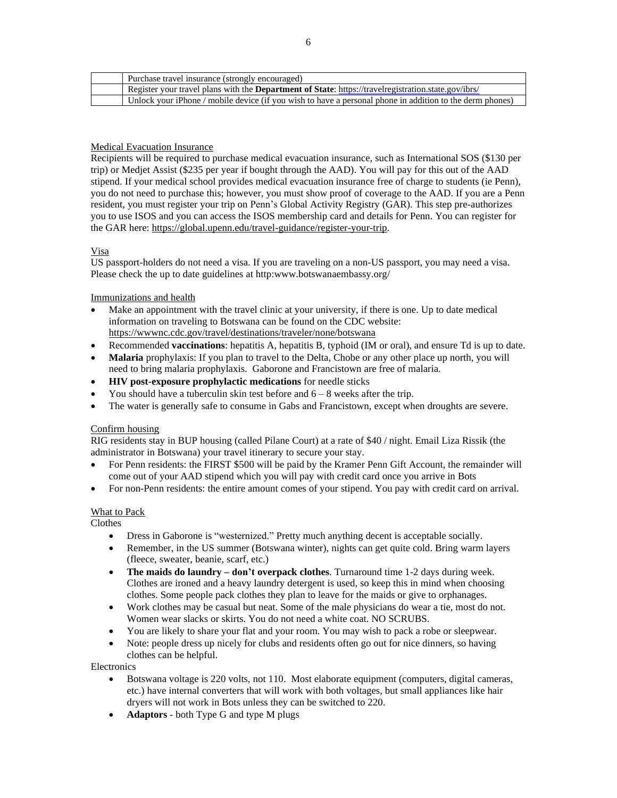| Purchase travel insurance (strongly encouraged)                                                             |
|-------------------------------------------------------------------------------------------------------------|
| Register your travel plans with the <b>Department of State</b> : https://travelregistration.state.gov/ibrs/ |
| Unlock your iPhone / mobile device (if you wish to have a personal phone in addition to the derm phones)    |

#### Medical Evacuation Insurance

Recipients will be required to purchase medical evacuation insurance, such as International SOS (\$130 per trip) or Medjet Assist (\$235 per year if bought through the AAD). You will pay for this out of the AAD stipend. If your medical school provides medical evacuation insurance free of charge to students (ie Penn), you do not need to purchase this; however, you must show proof of coverage to the AAD. If you are a Penn resident, you must register your trip on Penn's Global Activity [Registry](https://global.upenn.edu/travel-guidance/register-your-trip) (GAR). This step pre-authorizes you to use ISOS and you can access the ISOS membership card and details for Penn. You can register for the GAR here: [https://global.upenn.edu/travel-guidance/register-your-trip.](https://global.upenn.edu/travel-guidance/register-your-trip)

#### Visa

US passport-holders do not need a visa. If you are traveling on a non-US passport, you may need a visa. Please check the up to date guidelines at http:www.botswanaembassy.org/

#### Immunizations and health

- Make an appointment with the travel clinic at your university, if there is one. Up to date medical information on traveling to Botswana can be found on the CDC website: <https://wwwnc.cdc.gov/travel/destinations/traveler/none/botswana>
- Recommended **vaccinations**: hepatitis A, hepatitis B, typhoid (IM or oral), and ensure Td is up to date.
- **Malaria** prophylaxis: If you plan to travel to the Delta, Chobe or any other place up north, you will need to bring malaria prophylaxis. Gaborone and Francistown are free of malaria.
- **HIV post-exposure prophylactic medications** for needle sticks
- You should have a tuberculin skin test before and  $6 8$  weeks after the trip.
- The water is generally safe to consume in Gabs and Francistown, except when droughts are severe.

#### Confirm housing

RIG residents stay in BUP housing (called Pilane Court) at a rate of \$40 / night. Email Liza Rissik (the administrator in Botswana) your travel itinerary to secure your stay.

- For Penn residents: the FIRST \$500 will be paid by the Kramer Penn Gift Account, the remainder will come out of your AAD stipend which you will pay with credit card once you arrive in Bots
- For non-Penn residents: the entire amount comes of your stipend. You pay with credit card on arrival.

#### What to Pack

Clothes

- Dress in Gaborone is "westernized." Pretty much anything decent is acceptable socially.
- Remember, in the US summer (Botswana winter), nights can get quite cold. Bring warm layers (fleece, sweater, beanie, scarf, etc.)
- **The maids do laundry – don't overpack clothes**. Turnaround time 1-2 days during week. Clothes are ironed and a heavy laundry detergent is used, so keep this in mind when choosing clothes. Some people pack clothes they plan to leave for the maids or give to orphanages.
- Work clothes may be casual but neat. Some of the male physicians do wear a tie, most do not. Women wear slacks or skirts. You do not need a white coat. NO SCRUBS.
- You are likely to share your flat and your room. You may wish to pack a robe or sleepwear.
- Note: people dress up nicely for clubs and residents often go out for nice dinners, so having clothes can be helpful.

#### **Electronics**

- Botswana voltage is 220 volts, not 110. Most elaborate equipment (computers, digital cameras, etc.) have internal converters that will work with both voltages, but small appliances like hair dryers will not work in Bots unless they can be switched to 220.
- **Adaptors** both Type G and type M plugs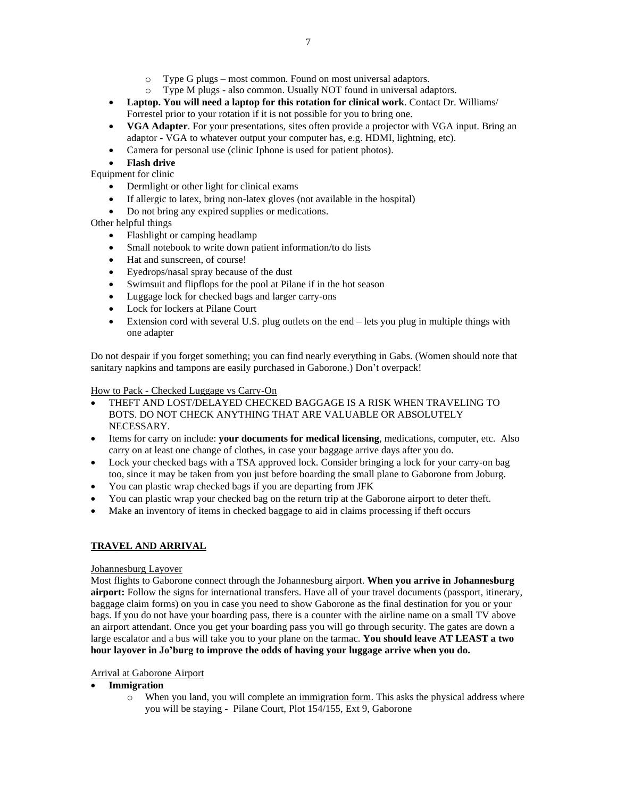- o Type G plugs most common. Found on most universal adaptors.
- o Type M plugs also common. Usually NOT found in universal adaptors.
- **Laptop. You will need a laptop for this rotation for clinical work**. Contact Dr. Williams/ Forrestel prior to your rotation if it is not possible for you to bring one.
- **VGA Adapter**. For your presentations, sites often provide a projector with VGA input. Bring an adaptor - VGA to whatever output your computer has, e.g. HDMI, lightning, etc).
- Camera for personal use (clinic Iphone is used for patient photos).
- **Flash drive**

Equipment for clinic

- Dermlight or other light for clinical exams
- If allergic to latex, bring non-latex gloves (not available in the hospital)
- Do not bring any expired supplies or medications.

Other helpful things

- Flashlight or camping headlamp
- Small notebook to write down patient information/to do lists
- Hat and sunscreen, of course!
- Eyedrops/nasal spray because of the dust
- Swimsuit and flipflops for the pool at Pilane if in the hot season
- Luggage lock for checked bags and larger carry-ons
- Lock for lockers at Pilane Court
- Extension cord with several U.S. plug outlets on the end lets you plug in multiple things with one adapter

Do not despair if you forget something; you can find nearly everything in Gabs. (Women should note that sanitary napkins and tampons are easily purchased in Gaborone.) Don't overpack!

#### How to Pack - Checked Luggage vs Carry-On

- THEFT AND LOST/DELAYED CHECKED BAGGAGE IS A RISK WHEN TRAVELING TO BOTS. DO NOT CHECK ANYTHING THAT ARE VALUABLE OR ABSOLUTELY NECESSARY.
- Items for carry on include: **your documents for medical licensing**, medications, computer, etc. Also carry on at least one change of clothes, in case your baggage arrive days after you do.
- Lock your checked bags with a TSA approved lock. Consider bringing a lock for your carry-on bag too, since it may be taken from you just before boarding the small plane to Gaborone from Joburg.
- You can plastic wrap checked bags if you are departing from JFK
- You can plastic wrap your checked bag on the return trip at the Gaborone airport to deter theft.
- Make an inventory of items in checked baggage to aid in claims processing if theft occurs

### **TRAVEL AND ARRIVAL**

#### Johannesburg Layover

Most flights to Gaborone connect through the Johannesburg airport. **When you arrive in Johannesburg airport:** Follow the signs for international transfers. Have all of your travel documents (passport, itinerary, baggage claim forms) on you in case you need to show Gaborone as the final destination for you or your bags. If you do not have your boarding pass, there is a counter with the airline name on a small TV above an airport attendant. Once you get your boarding pass you will go through security. The gates are down a large escalator and a bus will take you to your plane on the tarmac. **You should leave AT LEAST a two hour layover in Jo'burg to improve the odds of having your luggage arrive when you do.**

#### Arrival at Gaborone Airport

#### • **Immigration**

o When you land, you will complete an immigration form. This asks the physical address where you will be staying - Pilane Court, Plot 154/155, Ext 9, Gaborone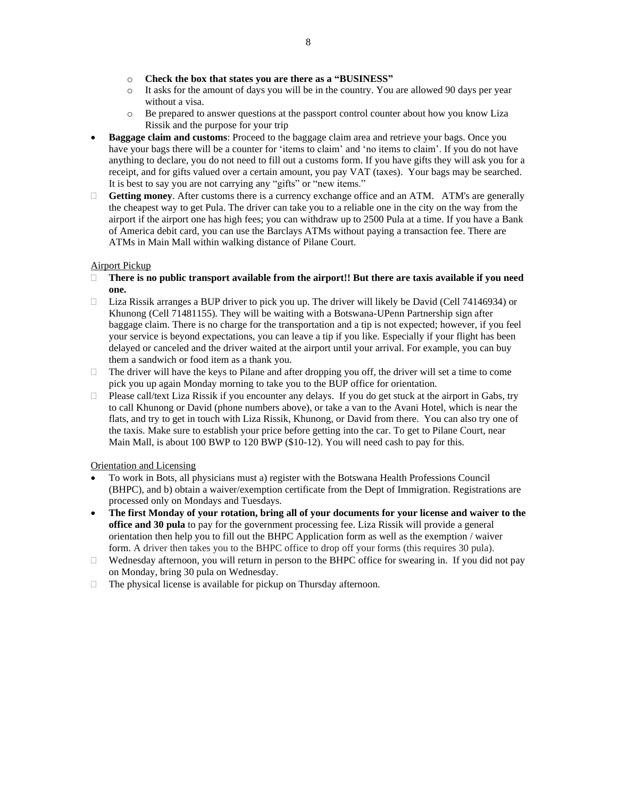- o **Check the box that states you are there as a "BUSINESS"**
- $\circ$  It asks for the amount of days you will be in the country. You are allowed 90 days per year without a visa.
- o Be prepared to answer questions at the passport control counter about how you know Liza Rissik and the purpose for your trip
- **Baggage claim and customs**: Proceed to the baggage claim area and retrieve your bags. Once you have your bags there will be a counter for 'items to claim' and 'no items to claim'. If you do not have anything to declare, you do not need to fill out a customs form. If you have gifts they will ask you for a receipt, and for gifts valued over a certain amount, you pay VAT (taxes). Your bags may be searched. It is best to say you are not carrying any "gifts" or "new items."
- **Getting money**. After customs there is a currency exchange office and an ATM. ATM's are generally the cheapest way to get Pula. The driver can take you to a reliable one in the city on the way from the airport if the airport one has high fees; you can withdraw up to 2500 Pula at a time. If you have a Bank of America debit card, you can use the Barclays ATMs without paying a transaction fee. There are ATMs in Main Mall within walking distance of Pilane Court.

### Airport Pickup

- **There is no public transport available from the airport!! But there are taxis available if you need one.**
- $\Box$  Liza Rissik arranges a BUP driver to pick you up. The driver will likely be David (Cell 74146934) or Khunong (Cell 71481155). They will be waiting with a Botswana-UPenn Partnership sign after baggage claim. There is no charge for the transportation and a tip is not expected; however, if you feel your service is beyond expectations, you can leave a tip if you like. Especially if your flight has been delayed or canceled and the driver waited at the airport until your arrival. For example, you can buy them a sandwich or food item as a thank you.
- $\Box$  The driver will have the keys to Pilane and after dropping you off, the driver will set a time to come pick you up again Monday morning to take you to the BUP office for orientation.
- $\Box$  Please call/text Liza Rissik if you encounter any delays. If you do get stuck at the airport in Gabs, try to call Khunong or David (phone numbers above), or take a van to the Avani Hotel, which is near the flats, and try to get in touch with Liza Rissik, Khunong, or David from there. You can also try one of the taxis. Make sure to establish your price before getting into the car. To get to Pilane Court, near Main Mall, is about 100 BWP to 120 BWP (\$10-12). You will need cash to pay for this.

#### Orientation and Licensing

- To work in Bots, all physicians must a) register with the Botswana Health Professions Council (BHPC), and b) obtain a waiver/exemption certificate from the Dept of Immigration. Registrations are processed only on Mondays and Tuesdays.
- The first Monday of your rotation, bring all of your documents for your license and waiver to the **office and 30 pula** to pay for the government processing fee. Liza Rissik will provide a general orientation then help you to fill out the BHPC Application form as well as the exemption / waiver form. A driver then takes you to the BHPC office to drop off your forms (this requires 30 pula).
- $\Box$  Wednesday afternoon, you will return in person to the BHPC office for swearing in. If you did not pay on Monday, bring 30 pula on Wednesday.
- $\Box$  The physical license is available for pickup on Thursday afternoon.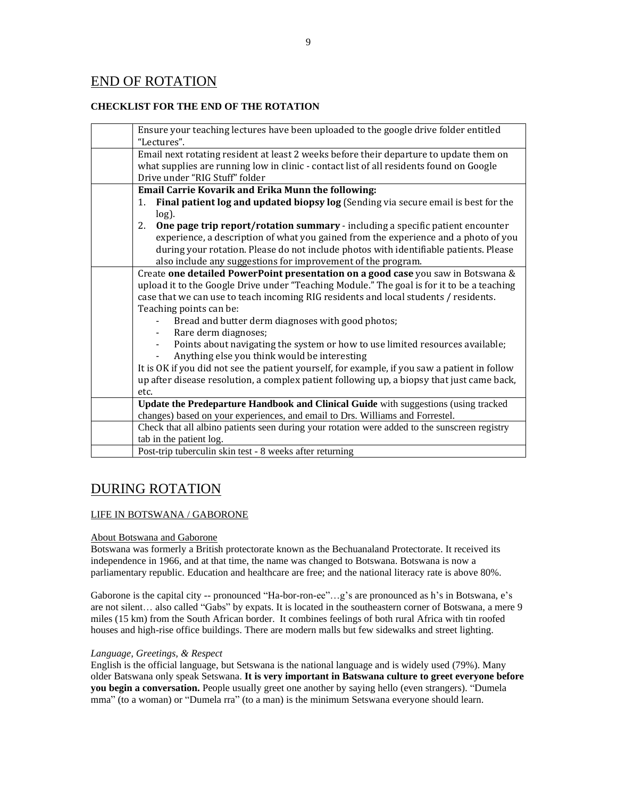## END OF ROTATION

#### **CHECKLIST FOR THE END OF THE ROTATION**

| Ensure your teaching lectures have been uploaded to the google drive folder entitled                      |
|-----------------------------------------------------------------------------------------------------------|
| "Lectures".                                                                                               |
| Email next rotating resident at least 2 weeks before their departure to update them on                    |
| what supplies are running low in clinic - contact list of all residents found on Google                   |
| Drive under "RIG Stuff" folder                                                                            |
| Email Carrie Kovarik and Erika Munn the following:                                                        |
| Final patient log and updated biopsy log (Sending via secure email is best for the<br>$1_{\cdot}$         |
| $log$ ).                                                                                                  |
| One page trip report/rotation summary - including a specific patient encounter<br>2.                      |
| experience, a description of what you gained from the experience and a photo of you                       |
| during your rotation. Please do not include photos with identifiable patients. Please                     |
| also include any suggestions for improvement of the program.                                              |
| Create one detailed PowerPoint presentation on a good case you saw in Botswana &                          |
| upload it to the Google Drive under "Teaching Module." The goal is for it to be a teaching                |
| case that we can use to teach incoming RIG residents and local students / residents.                      |
| Teaching points can be:                                                                                   |
| Bread and butter derm diagnoses with good photos;                                                         |
| Rare derm diagnoses;                                                                                      |
| Points about navigating the system or how to use limited resources available;<br>$\overline{\phantom{a}}$ |
| Anything else you think would be interesting<br>-                                                         |
| It is OK if you did not see the patient yourself, for example, if you saw a patient in follow             |
| up after disease resolution, a complex patient following up, a biopsy that just came back,                |
| etc.                                                                                                      |
| Update the Predeparture Handbook and Clinical Guide with suggestions (using tracked                       |
| changes) based on your experiences, and email to Drs. Williams and Forrestel.                             |
| Check that all albino patients seen during your rotation were added to the sunscreen registry             |
| tab in the patient log.                                                                                   |
| Post-trip tuberculin skin test - 8 weeks after returning                                                  |

# DURING ROTATION

#### LIFE IN BOTSWANA / GABORONE

#### About Botswana and Gaborone

Botswana was formerly a British protectorate known as the Bechuanaland Protectorate. It received its independence in 1966, and at that time, the name was changed to Botswana. Botswana is now a parliamentary republic. Education and healthcare are free; and the national literacy rate is above 80%.

Gaborone is the capital city -- pronounced "Ha-bor-ron-ee"…g's are pronounced as h's in Botswana, e's are not silent… also called "Gabs" by expats. It is located in the southeastern corner of Botswana, a mere 9 miles (15 km) from the South African border. It combines feelings of both rural Africa with tin roofed houses and high-rise office buildings. There are modern malls but few sidewalks and street lighting.

#### *Language, Greetings, & Respect*

English is the official language, but Setswana is the national language and is widely used (79%). Many older Batswana only speak Setswana. **It is very important in Batswana culture to greet everyone before you begin a conversation.** People usually greet one another by saying hello (even strangers). "Dumela mma" (to a woman) or "Dumela rra" (to a man) is the minimum Setswana everyone should learn.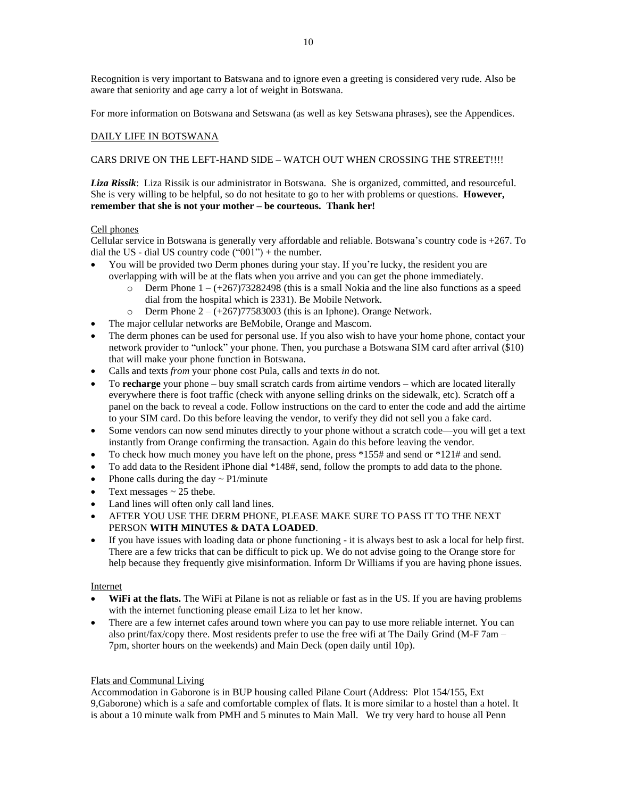Recognition is very important to Batswana and to ignore even a greeting is considered very rude. Also be aware that seniority and age carry a lot of weight in Botswana.

For more information on Botswana and Setswana (as well as key Setswana phrases), see the Appendices.

#### DAILY LIFE IN BOTSWANA

#### CARS DRIVE ON THE LEFT-HAND SIDE – WATCH OUT WHEN CROSSING THE STREET!!!!

*Liza Rissik*: Liza Rissik is our administrator in Botswana. She is organized, committed, and resourceful. She is very willing to be helpful, so do not hesitate to go to her with problems or questions. **However, remember that she is not your mother – be courteous. Thank her!**

#### Cell phones

Cellular service in Botswana is generally very affordable and reliable. Botswana's country code is +267. To dial the US - dial US country code  $("001")$  + the number.

- You will be provided two Derm phones during your stay. If you're lucky, the resident you are overlapping with will be at the flats when you arrive and you can get the phone immediately.
	- o Derm Phone  $1 (+267)73282498$  (this is a small Nokia and the line also functions as a speed dial from the hospital which is 2331). Be Mobile Network.
	- o Derm Phone  $2 (+267)77583003$  (this is an Iphone). Orange Network.
- The major cellular networks are BeMobile, Orange and Mascom.
- The derm phones can be used for personal use. If you also wish to have your home phone, contact your network provider to "unlock" your phone. Then, you purchase a Botswana SIM card after arrival (\$10) that will make your phone function in Botswana.
- Calls and texts *from* your phone cost Pula, calls and texts *in* do not.
- To **recharge** your phone buy small scratch cards from airtime vendors which are located literally everywhere there is foot traffic (check with anyone selling drinks on the sidewalk, etc). Scratch off a panel on the back to reveal a code. Follow instructions on the card to enter the code and add the airtime to your SIM card. Do this before leaving the vendor, to verify they did not sell you a fake card.
- Some vendors can now send minutes directly to your phone without a scratch code—you will get a text instantly from Orange confirming the transaction. Again do this before leaving the vendor.
- To check how much money you have left on the phone, press  $*155#$  and send or  $*121#$  and send.
- To add data to the Resident iPhone dial \*148#, send, follow the prompts to add data to the phone.
- Phone calls during the day  $\sim$  P1/minute
- Text messages  $\sim$  25 thebe.
- Land lines will often only call land lines.
- AFTER YOU USE THE DERM PHONE, PLEASE MAKE SURE TO PASS IT TO THE NEXT PERSON **WITH MINUTES & DATA LOADED**.
- If you have issues with loading data or phone functioning it is always best to ask a local for help first. There are a few tricks that can be difficult to pick up. We do not advise going to the Orange store for help because they frequently give misinformation. Inform Dr Williams if you are having phone issues.

#### Internet

- **WiFi at the flats.** The WiFi at Pilane is not as reliable or fast as in the US. If you are having problems with the internet functioning please email Liza to let her know.
- There are a few internet cafes around town where you can pay to use more reliable internet. You can also print/fax/copy there. Most residents prefer to use the free wifi at The Daily Grind (M-F 7am – 7pm, shorter hours on the weekends) and Main Deck (open daily until 10p).

#### Flats and Communal Living

Accommodation in Gaborone is in BUP housing called Pilane Court (Address: Plot 154/155, Ext 9,Gaborone) which is a safe and comfortable complex of flats. It is more similar to a hostel than a hotel. It is about a 10 minute walk from PMH and 5 minutes to Main Mall. We try very hard to house all Penn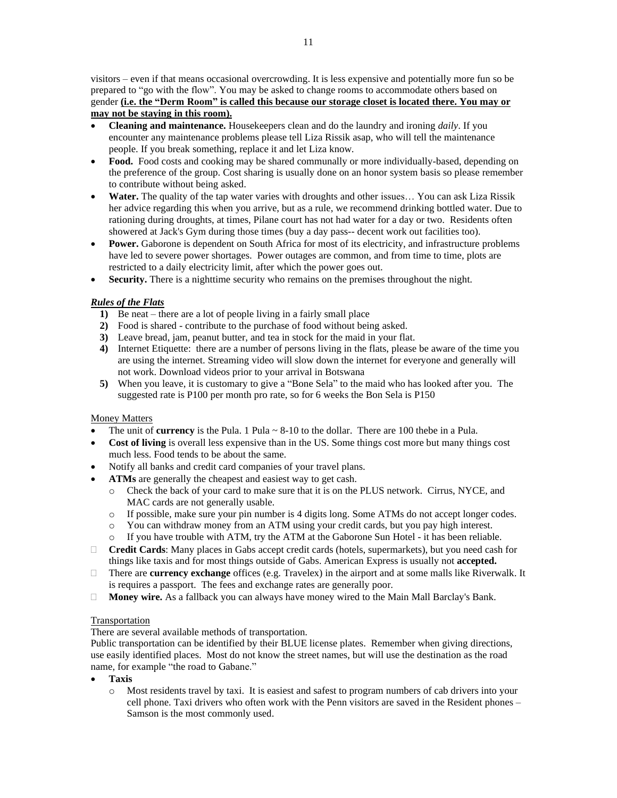visitors – even if that means occasional overcrowding. It is less expensive and potentially more fun so be prepared to "go with the flow". You may be asked to change rooms to accommodate others based on gender **(i.e. the "Derm Room" is called this because our storage closet is located there. You may or may not be staying in this room).**

- **Cleaning and maintenance.** Housekeepers clean and do the laundry and ironing *daily*. If you encounter any maintenance problems please tell Liza Rissik asap, who will tell the maintenance people. If you break something, replace it and let Liza know.
- **Food.** Food costs and cooking may be shared communally or more individually-based, depending on the preference of the group. Cost sharing is usually done on an honor system basis so please remember to contribute without being asked.
- **Water.** The quality of the tap water varies with droughts and other issues... You can ask Liza Rissik her advice regarding this when you arrive, but as a rule, we recommend drinking bottled water. Due to rationing during droughts, at times, Pilane court has not had water for a day or two. Residents often showered at Jack's Gym during those times (buy a day pass-- decent work out facilities too).
- **Power.** Gaborone is dependent on South Africa for most of its electricity, and infrastructure problems have led to severe power shortages. Power outages are common, and from time to time, plots are restricted to a daily electricity limit, after which the power goes out.
- **Security.** There is a nighttime security who remains on the premises throughout the night.

#### *Rules of the Flats*

- **1)** Be neat there are a lot of people living in a fairly small place
- **2)** Food is shared contribute to the purchase of food without being asked.
- **3)** Leave bread, jam, peanut butter, and tea in stock for the maid in your flat.
- **4)** Internet Etiquette: there are a number of persons living in the flats, please be aware of the time you are using the internet. Streaming video will slow down the internet for everyone and generally will not work. Download videos prior to your arrival in Botswana
- **5)** When you leave, it is customary to give a "Bone Sela" to the maid who has looked after you. The suggested rate is P100 per month pro rate, so for 6 weeks the Bon Sela is P150

#### Money Matters

- The unit of **currency** is the Pula. 1 Pula  $\sim$  8-10 to the dollar. There are 100 thebe in a Pula.
- **Cost of living** is overall less expensive than in the US. Some things cost more but many things cost much less. Food tends to be about the same.
- Notify all banks and credit card companies of your travel plans.
- **ATMs** are generally the cheapest and easiest way to get cash.
	- o Check the back of your card to make sure that it is on the PLUS network. Cirrus, NYCE, and MAC cards are not generally usable.
	- o If possible, make sure your pin number is 4 digits long. Some ATMs do not accept longer codes.
	- o You can withdraw money from an ATM using your credit cards, but you pay high interest.
	- o If you have trouble with ATM, try the ATM at the Gaborone Sun Hotel it has been reliable.
- **Credit Cards**: Many places in Gabs accept credit cards (hotels, supermarkets), but you need cash for things like taxis and for most things outside of Gabs. American Express is usually not **accepted.**
- There are **currency exchange** offices (e.g. Travelex) in the airport and at some malls like Riverwalk. It is requires a passport. The fees and exchange rates are generally poor.
- **Money wire.** As a fallback you can always have money wired to the Main Mall Barclay's Bank.

#### Transportation

There are several available methods of transportation.

Public transportation can be identified by their BLUE license plates. Remember when giving directions, use easily identified places. Most do not know the street names, but will use the destination as the road name, for example "the road to Gabane."

- **Taxis**
	- o Most residents travel by taxi. It is easiest and safest to program numbers of cab drivers into your cell phone. Taxi drivers who often work with the Penn visitors are saved in the Resident phones – Samson is the most commonly used.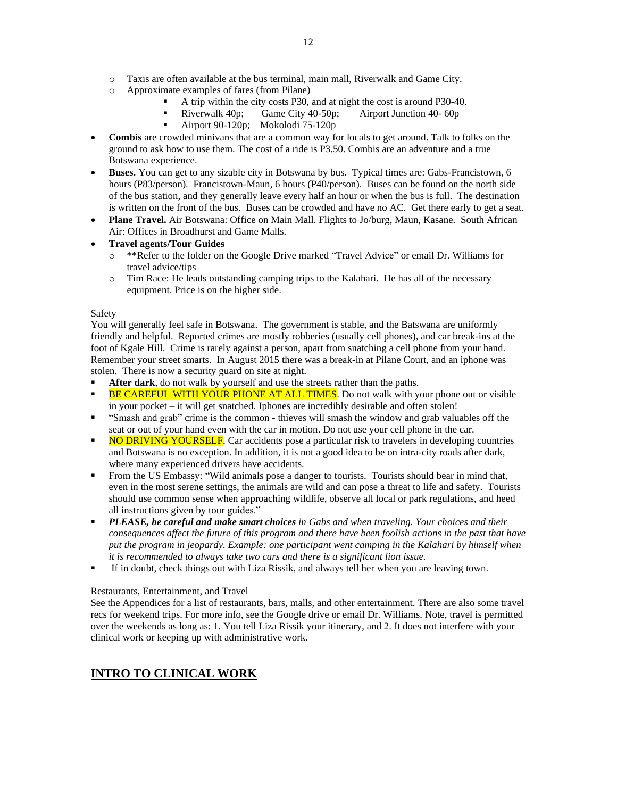- o Taxis are often available at the bus terminal, main mall, Riverwalk and Game City.
- o Approximate examples of fares (from Pilane)
	- A trip within the city costs P30, and at night the cost is around P30-40.
	- Riverwalk 40p; Game City 40-50p; Airport Junction 40- 60p
	- Airport 90-120p; Mokolodi 75-120p
- **Combis** are crowded minivans that are a common way for locals to get around. Talk to folks on the ground to ask how to use them. The cost of a ride is P3.50. Combis are an adventure and a true Botswana experience.
- **Buses.** You can get to any sizable city in Botswana by bus. Typical times are: Gabs-Francistown, 6 hours (P83/person). Francistown-Maun, 6 hours (P40/person). Buses can be found on the north side of the bus station, and they generally leave every half an hour or when the bus is full. The destination is written on the front of the bus. Buses can be crowded and have no AC. Get there early to get a seat.
- **Plane Travel.** Air Botswana: Office on Main Mall. Flights to Jo/burg, Maun, Kasane. South African Air: Offices in Broadhurst and Game Malls.

#### • **Travel agents/Tour Guides**

- o \*\*Refer to the folder on the Google Drive marked "Travel Advice" or email Dr. Williams for travel advice/tips
- o Tim Race: He leads outstanding camping trips to the Kalahari. He has all of the necessary equipment. Price is on the higher side.

#### Safety

You will generally feel safe in Botswana. The government is stable, and the Batswana are uniformly friendly and helpful. Reported crimes are mostly robberies (usually cell phones), and car break-ins at the foot of Kgale Hill. Crime is rarely against a person, apart from snatching a cell phone from your hand. Remember your street smarts. In August 2015 there was a break-in at Pilane Court, and an iphone was stolen. There is now a security guard on site at night.

After dark, do not walk by yourself and use the streets rather than the paths.

- BE CAREFUL WITH YOUR PHONE AT ALL TIMES. Do not walk with your phone out or visible in your pocket – it will get snatched. Iphones are incredibly desirable and often stolen!
- "Smash and grab" crime is the common thieves will smash the window and grab valuables off the seat or out of your hand even with the car in motion. Do not use your cell phone in the car.
- **NO DRIVING YOURSELF**. Car accidents pose a particular risk to travelers in developing countries and Botswana is no exception. In addition, it is not a good idea to be on intra-city roads after dark, where many experienced drivers have accidents.
- **•** From the US Embassy: "Wild animals pose a danger to tourists. Tourists should bear in mind that, even in the most serene settings, the animals are wild and can pose a threat to life and safety. Tourists should use common sense when approaching wildlife, observe all local or park regulations, and heed all instructions given by tour guides."
- *PLEASE, be careful and make smart choices in Gabs and when traveling. Your choices and their* consequences affect the future of this program and there have been foolish actions in the past that have *put the program in jeopardy. Example: one participant went camping in the Kalahari by himself when it is recommended to always take two cars and there is a significant lion issue.*
- **•** If in doubt, check things out with Liza Rissik, and always tell her when you are leaving town.

#### Restaurants, Entertainment, and Travel

See the Appendices for a list of restaurants, bars, malls, and other entertainment. There are also some travel recs for weekend trips. For more info, see the Google drive or email Dr. Williams. Note, travel is permitted over the weekends as long as: 1. You tell Liza Rissik your itinerary, and 2. It does not interfere with your clinical work or keeping up with administrative work.

### **INTRO TO CLINICAL WORK**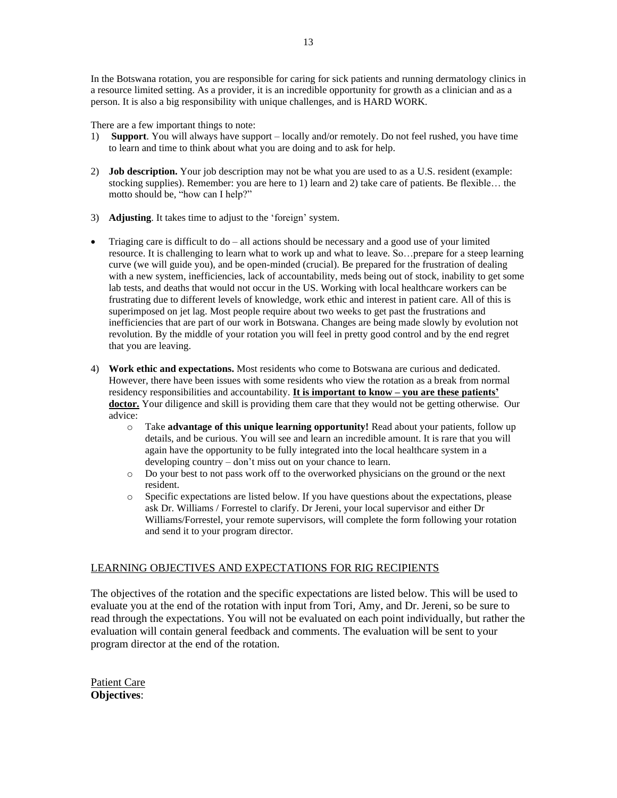There are a few important things to note:

- 1) **Support**. You will always have support locally and/or remotely. Do not feel rushed, you have time to learn and time to think about what you are doing and to ask for help.
- 2) **Job description.** Your job description may not be what you are used to as a U.S. resident (example: stocking supplies). Remember: you are here to 1) learn and 2) take care of patients. Be flexible… the motto should be, "how can I help?"
- 3) **Adjusting**. It takes time to adjust to the 'foreign' system.
- Triaging care is difficult to  $do all$  actions should be necessary and a good use of your limited resource. It is challenging to learn what to work up and what to leave. So…prepare for a steep learning curve (we will guide you), and be open-minded (crucial). Be prepared for the frustration of dealing with a new system, inefficiencies, lack of accountability, meds being out of stock, inability to get some lab tests, and deaths that would not occur in the US. Working with local healthcare workers can be frustrating due to different levels of knowledge, work ethic and interest in patient care. All of this is superimposed on jet lag. Most people require about two weeks to get past the frustrations and inefficiencies that are part of our work in Botswana. Changes are being made slowly by evolution not revolution. By the middle of your rotation you will feel in pretty good control and by the end regret that you are leaving.
- 4) **Work ethic and expectations.** Most residents who come to Botswana are curious and dedicated. However, there have been issues with some residents who view the rotation as a break from normal residency responsibilities and accountability. **It is important to know – you are these patients' doctor.** Your diligence and skill is providing them care that they would not be getting otherwise. Our advice:
	- o Take **advantage of this unique learning opportunity!** Read about your patients, follow up details, and be curious. You will see and learn an incredible amount. It is rare that you will again have the opportunity to be fully integrated into the local healthcare system in a developing country – don't miss out on your chance to learn.
	- o Do your best to not pass work off to the overworked physicians on the ground or the next resident.
	- o Specific expectations are listed below. If you have questions about the expectations, please ask Dr. Williams / Forrestel to clarify. Dr Jereni, your local supervisor and either Dr Williams/Forrestel, your remote supervisors, will complete the form following your rotation and send it to your program director.

### LEARNING OBJECTIVES AND EXPECTATIONS FOR RIG RECIPIENTS

The objectives of the rotation and the specific expectations are listed below. This will be used to evaluate you at the end of the rotation with input from Tori, Amy, and Dr. Jereni, so be sure to read through the expectations. You will not be evaluated on each point individually, but rather the evaluation will contain general feedback and comments. The evaluation will be sent to your program director at the end of the rotation.

Patient Care **Objectives**: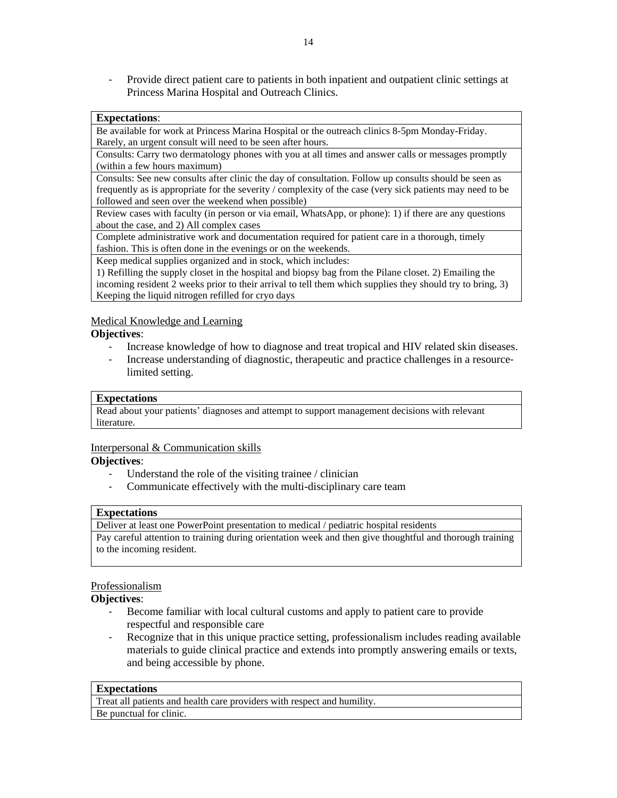- Provide direct patient care to patients in both inpatient and outpatient clinic settings at Princess Marina Hospital and Outreach Clinics.

### **Expectations**:

Be available for work at Princess Marina Hospital or the outreach clinics 8-5pm Monday-Friday. Rarely, an urgent consult will need to be seen after hours.

Consults: Carry two dermatology phones with you at all times and answer calls or messages promptly (within a few hours maximum)

Consults: See new consults after clinic the day of consultation. Follow up consults should be seen as frequently as is appropriate for the severity / complexity of the case (very sick patients may need to be followed and seen over the weekend when possible)

Review cases with faculty (in person or via email, WhatsApp, or phone): 1) if there are any questions about the case, and 2) All complex cases

Complete administrative work and documentation required for patient care in a thorough, timely fashion. This is often done in the evenings or on the weekends.

Keep medical supplies organized and in stock, which includes:

1) Refilling the supply closet in the hospital and biopsy bag from the Pilane closet. 2) Emailing the incoming resident 2 weeks prior to their arrival to tell them which supplies they should try to bring, 3) Keeping the liquid nitrogen refilled for cryo days

### Medical Knowledge and Learning

### **Objectives**:

- Increase knowledge of how to diagnose and treat tropical and HIV related skin diseases.
- Increase understanding of diagnostic, therapeutic and practice challenges in a resource‐ limited setting.

### **Expectations**

Read about your patients' diagnoses and attempt to support management decisions with relevant literature.

### Interpersonal & Communication skills

#### **Objectives**:

- Understand the role of the visiting trainee / clinician
- Communicate effectively with the multi-disciplinary care team

#### **Expectations**

Deliver at least one PowerPoint presentation to medical / pediatric hospital residents Pay careful attention to training during orientation week and then give thoughtful and thorough training to the incoming resident.

#### Professionalism

### **Objectives**:

- Become familiar with local cultural customs and apply to patient care to provide respectful and responsible care
- Recognize that in this unique practice setting, professionalism includes reading available materials to guide clinical practice and extends into promptly answering emails or texts, and being accessible by phone.

#### **Expectations**

Treat all patients and health care providers with respect and humility. Be punctual for clinic.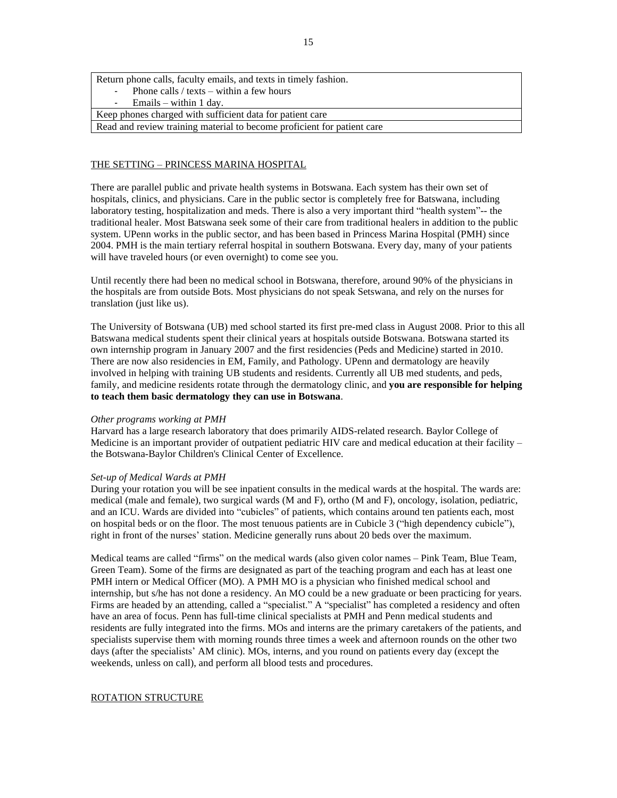Return phone calls, faculty emails, and texts in timely fashion. Phone calls / texts – within a few hours  $E$ mails – within 1 day. Keep phones charged with sufficient data for patient care Read and review training material to become proficient for patient care

#### THE SETTING – PRINCESS MARINA HOSPITAL

There are parallel public and private health systems in Botswana. Each system has their own set of hospitals, clinics, and physicians. Care in the public sector is completely free for Batswana, including laboratory testing, hospitalization and meds. There is also a very important third "health system"-- the traditional healer. Most Batswana seek some of their care from traditional healers in addition to the public system. UPenn works in the public sector, and has been based in Princess Marina Hospital (PMH) since 2004. PMH is the main tertiary referral hospital in southern Botswana. Every day, many of your patients will have traveled hours (or even overnight) to come see you.

Until recently there had been no medical school in Botswana, therefore, around 90% of the physicians in the hospitals are from outside Bots. Most physicians do not speak Setswana, and rely on the nurses for translation (just like us).

The University of Botswana (UB) med school started its first pre-med class in August 2008. Prior to this all Batswana medical students spent their clinical years at hospitals outside Botswana. Botswana started its own internship program in January 2007 and the first residencies (Peds and Medicine) started in 2010. There are now also residencies in EM, Family, and Pathology. UPenn and dermatology are heavily involved in helping with training UB students and residents. Currently all UB med students, and peds, family, and medicine residents rotate through the dermatology clinic, and **you are responsible for helping to teach them basic dermatology they can use in Botswana**.

#### *Other programs working at PMH*

Harvard has a large research laboratory that does primarily AIDS-related research. Baylor College of Medicine is an important provider of outpatient pediatric HIV care and medical education at their facility – the Botswana-Baylor Children's Clinical Center of Excellence.

#### *Set-up of Medical Wards at PMH*

During your rotation you will be see inpatient consults in the medical wards at the hospital. The wards are: medical (male and female), two surgical wards (M and F), ortho (M and F), oncology, isolation, pediatric, and an ICU. Wards are divided into "cubicles" of patients, which contains around ten patients each, most on hospital beds or on the floor. The most tenuous patients are in Cubicle 3 ("high dependency cubicle"), right in front of the nurses' station. Medicine generally runs about 20 beds over the maximum.

Medical teams are called "firms" on the medical wards (also given color names – Pink Team, Blue Team, Green Team). Some of the firms are designated as part of the teaching program and each has at least one PMH intern or Medical Officer (MO). A PMH MO is a physician who finished medical school and internship, but s/he has not done a residency. An MO could be a new graduate or been practicing for years. Firms are headed by an attending, called a "specialist." A "specialist" has completed a residency and often have an area of focus. Penn has full-time clinical specialists at PMH and Penn medical students and residents are fully integrated into the firms. MOs and interns are the primary caretakers of the patients, and specialists supervise them with morning rounds three times a week and afternoon rounds on the other two days (after the specialists' AM clinic). MOs, interns, and you round on patients every day (except the weekends, unless on call), and perform all blood tests and procedures.

#### ROTATION STRUCTURE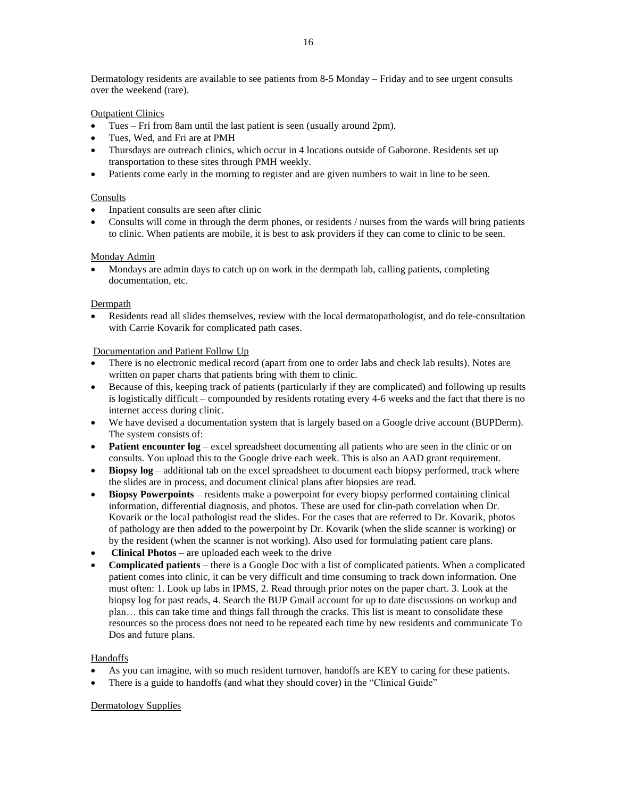Dermatology residents are available to see patients from 8-5 Monday – Friday and to see urgent consults over the weekend (rare).

Outpatient Clinics

- Tues Fri from 8am until the last patient is seen (usually around 2pm).
- Tues, Wed, and Fri are at PMH
- Thursdays are outreach clinics, which occur in 4 locations outside of Gaborone. Residents set up transportation to these sites through PMH weekly.
- Patients come early in the morning to register and are given numbers to wait in line to be seen.

#### **Consults**

- Inpatient consults are seen after clinic
- Consults will come in through the derm phones, or residents / nurses from the wards will bring patients to clinic. When patients are mobile, it is best to ask providers if they can come to clinic to be seen.

#### Monday Admin

• Mondays are admin days to catch up on work in the dermpath lab, calling patients, completing documentation, etc.

#### **Dermpath**

• Residents read all slides themselves, review with the local dermatopathologist, and do tele-consultation with Carrie Kovarik for complicated path cases.

#### Documentation and Patient Follow Up

- There is no electronic medical record (apart from one to order labs and check lab results). Notes are written on paper charts that patients bring with them to clinic.
- Because of this, keeping track of patients (particularly if they are complicated) and following up results is logistically difficult – compounded by residents rotating every 4-6 weeks and the fact that there is no internet access during clinic.
- We have devised a documentation system that is largely based on a Google drive account (BUPDerm). The system consists of:
- **Patient encounter**  $log$  excel spreadsheet documenting all patients who are seen in the clinic or on consults. You upload this to the Google drive each week. This is also an AAD grant requirement.
- **Biopsy**  $log -$  additional tab on the excel spreadsheet to document each biopsy performed, track where the slides are in process, and document clinical plans after biopsies are read.
- **Biopsy Powerpoints** residents make a powerpoint for every biopsy performed containing clinical information, differential diagnosis, and photos. These are used for clin-path correlation when Dr. Kovarik or the local pathologist read the slides. For the cases that are referred to Dr. Kovarik, photos of pathology are then added to the powerpoint by Dr. Kovarik (when the slide scanner is working) or by the resident (when the scanner is not working). Also used for formulating patient care plans.
- **Clinical Photos** are uploaded each week to the drive
- **Complicated patients** there is a Google Doc with a list of complicated patients. When a complicated patient comes into clinic, it can be very difficult and time consuming to track down information. One must often: 1. Look up labs in IPMS, 2. Read through prior notes on the paper chart. 3. Look at the biopsy log for past reads, 4. Search the BUP Gmail account for up to date discussions on workup and plan… this can take time and things fall through the cracks. This list is meant to consolidate these resources so the process does not need to be repeated each time by new residents and communicate To Dos and future plans.

#### **Handoffs**

- As you can imagine, with so much resident turnover, handoffs are KEY to caring for these patients.
- There is a guide to handoffs (and what they should cover) in the "Clinical Guide"

#### Dermatology Supplies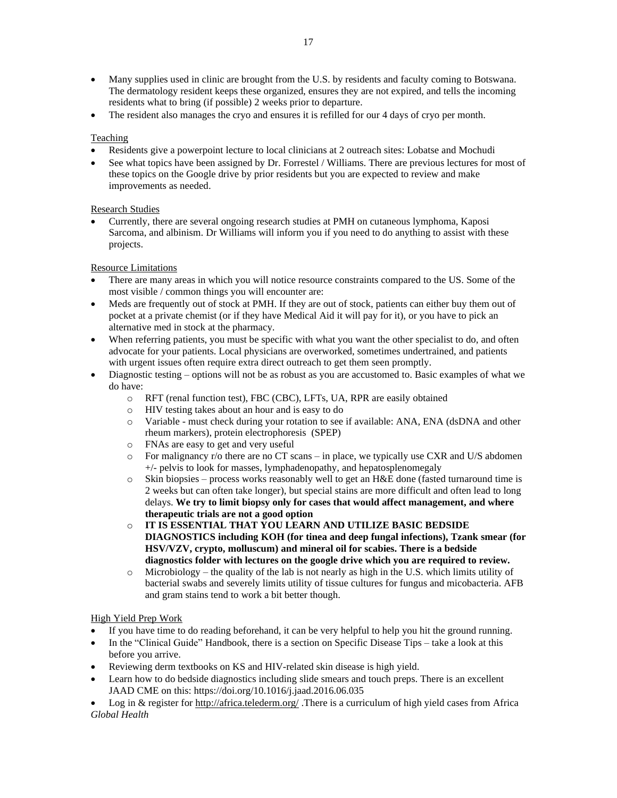- Many supplies used in clinic are brought from the U.S. by residents and faculty coming to Botswana. The dermatology resident keeps these organized, ensures they are not expired, and tells the incoming residents what to bring (if possible) 2 weeks prior to departure.
- The resident also manages the cryo and ensures it is refilled for our 4 days of cryo per month.

#### Teaching

- Residents give a powerpoint lecture to local clinicians at 2 outreach sites: Lobatse and Mochudi
- See what topics have been assigned by Dr. Forrestel / Williams. There are previous lectures for most of these topics on the Google drive by prior residents but you are expected to review and make improvements as needed.

#### Research Studies

• Currently, there are several ongoing research studies at PMH on cutaneous lymphoma, Kaposi Sarcoma, and albinism. Dr Williams will inform you if you need to do anything to assist with these projects.

#### Resource Limitations

- There are many areas in which you will notice resource constraints compared to the US. Some of the most visible / common things you will encounter are:
- Meds are frequently out of stock at PMH. If they are out of stock, patients can either buy them out of pocket at a private chemist (or if they have Medical Aid it will pay for it), or you have to pick an alternative med in stock at the pharmacy.
- When referring patients, you must be specific with what you want the other specialist to do, and often advocate for your patients. Local physicians are overworked, sometimes undertrained, and patients with urgent issues often require extra direct outreach to get them seen promptly.
- Diagnostic testing options will not be as robust as you are accustomed to. Basic examples of what we do have:
	- o RFT (renal function test), FBC (CBC), LFTs, UA, RPR are easily obtained
	- o HIV testing takes about an hour and is easy to do
	- o Variable must check during your rotation to see if available: ANA, ENA (dsDNA and other rheum markers), protein electrophoresis (SPEP)
	- o FNAs are easy to get and very useful
	- o For malignancy r/o there are no CT scans in place, we typically use CXR and U/S abdomen +/- pelvis to look for masses, lymphadenopathy, and hepatosplenomegaly
	- $\circ$  Skin biopsies process works reasonably well to get an H&E done (fasted turnaround time is 2 weeks but can often take longer), but special stains are more difficult and often lead to long delays. **We try to limit biopsy only for cases that would affect management, and where therapeutic trials are not a good option**
	- o **IT IS ESSENTIAL THAT YOU LEARN AND UTILIZE BASIC BEDSIDE DIAGNOSTICS including KOH (for tinea and deep fungal infections), Tzank smear (for HSV/VZV, crypto, molluscum) and mineral oil for scabies. There is a bedside diagnostics folder with lectures on the google drive which you are required to review.**
	- $\circ$  Microbiology the quality of the lab is not nearly as high in the U.S. which limits utility of bacterial swabs and severely limits utility of tissue cultures for fungus and micobacteria. AFB and gram stains tend to work a bit better though.

#### High Yield Prep Work

- If you have time to do reading beforehand, it can be very helpful to help you hit the ground running.
- In the "Clinical Guide" Handbook, there is a section on Specific Disease Tips take a look at this before you arrive.
- Reviewing derm textbooks on KS and HIV-related skin disease is high yield.
- Learn how to do bedside diagnostics including slide smears and touch preps. There is an excellent JAAD CME on this: https://doi.org/10.1016/j.jaad.2016.06.035

Log in & register for <http://africa.telederm.org/> .There is a curriculum of high yield cases from Africa *Global Health*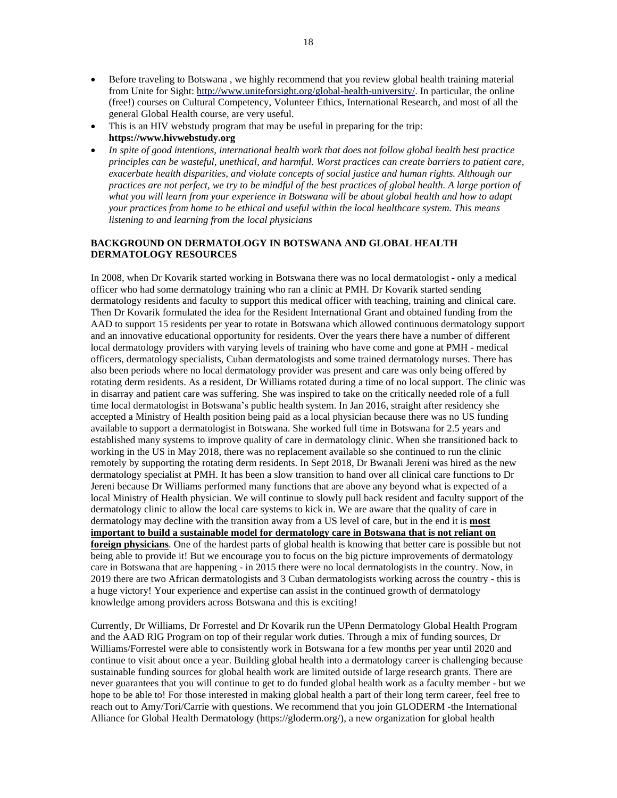- Before traveling to Botswana , we highly recommend that you review global health training material from Unite for Sight: [http://www.uniteforsight.org/global-health-university/.](http://www.uniteforsight.org/global-health-university/) In particular, the online (free!) courses on Cultural Competency, Volunteer Ethics, International Research, and most of all the general Global Health course, are very useful.
- This is an HIV webstudy program that may be useful in preparing for the trip: **[https://www.hivwebstudy.org](https://www.hivwebstudy.org/)**
- *In spite of good intentions, international health work that does not follow global health best practice principles can be wasteful, unethical, and harmful. Worst practices can create barriers to patient care, exacerbate health disparities, and violate concepts of social justice and human rights. Although our* practices are not perfect, we try to be mindful of the best practices of global health. A large portion of *what you will learn from your experience in Botswana will be about global health and how to adapt your practices from home to be ethical and useful within the local healthcare system. This means listening to and learning from the local physicians*

#### **BACKGROUND ON DERMATOLOGY IN BOTSWANA AND GLOBAL HEALTH DERMATOLOGY RESOURCES**

In 2008, when Dr Kovarik started working in Botswana there was no local dermatologist - only a medical officer who had some dermatology training who ran a clinic at PMH. Dr Kovarik started sending dermatology residents and faculty to support this medical officer with teaching, training and clinical care. Then Dr Kovarik formulated the idea for the Resident International Grant and obtained funding from the AAD to support 15 residents per year to rotate in Botswana which allowed continuous dermatology support and an innovative educational opportunity for residents. Over the years there have a number of different local dermatology providers with varying levels of training who have come and gone at PMH - medical officers, dermatology specialists, Cuban dermatologists and some trained dermatology nurses. There has also been periods where no local dermatology provider was present and care was only being offered by rotating derm residents. As a resident, Dr Williams rotated during a time of no local support. The clinic was in disarray and patient care was suffering. She was inspired to take on the critically needed role of a full time local dermatologist in Botswana's public health system. In Jan 2016, straight after residency she accepted a Ministry of Health position being paid as a local physician because there was no US funding available to support a dermatologist in Botswana. She worked full time in Botswana for 2.5 years and established many systems to improve quality of care in dermatology clinic. When she transitioned back to working in the US in May 2018, there was no replacement available so she continued to run the clinic remotely by supporting the rotating derm residents. In Sept 2018, Dr Bwanali Jereni was hired as the new dermatology specialist at PMH. It has been a slow transition to hand over all clinical care functions to Dr Jereni because Dr Williams performed many functions that are above any beyond what is expected of a local Ministry of Health physician. We will continue to slowly pull back resident and faculty support of the dermatology clinic to allow the local care systems to kick in. We are aware that the quality of care in dermatology may decline with the transition away from a US level of care, but in the end it is **most important to build a sustainable model for dermatology care in Botswana that is not reliant on foreign physicians**. One of the hardest parts of global health is knowing that better care is possible but not being able to provide it! But we encourage you to focus on the big picture improvements of dermatology care in Botswana that are happening - in 2015 there were no local dermatologists in the country. Now, in 2019 there are two African dermatologists and 3 Cuban dermatologists working across the country - this is a huge victory! Your experience and expertise can assist in the continued growth of dermatology knowledge among providers across Botswana and this is exciting!

Currently, Dr Williams, Dr Forrestel and Dr Kovarik run the UPenn Dermatology Global Health Program and the AAD RIG Program on top of their regular work duties. Through a mix of funding sources, Dr Williams/Forrestel were able to consistently work in Botswana for a few months per year until 2020 and continue to visit about once a year. Building global health into a dermatology career is challenging because sustainable funding sources for global health work are limited outside of large research grants. There are never guarantees that you will continue to get to do funded global health work as a faculty member - but we hope to be able to! For those interested in making global health a part of their long term career, feel free to reach out to Amy/Tori/Carrie with questions. We recommend that you join GLODERM -the International Alliance for Global Health Dermatology (https://gloderm.org/), a new organization for global health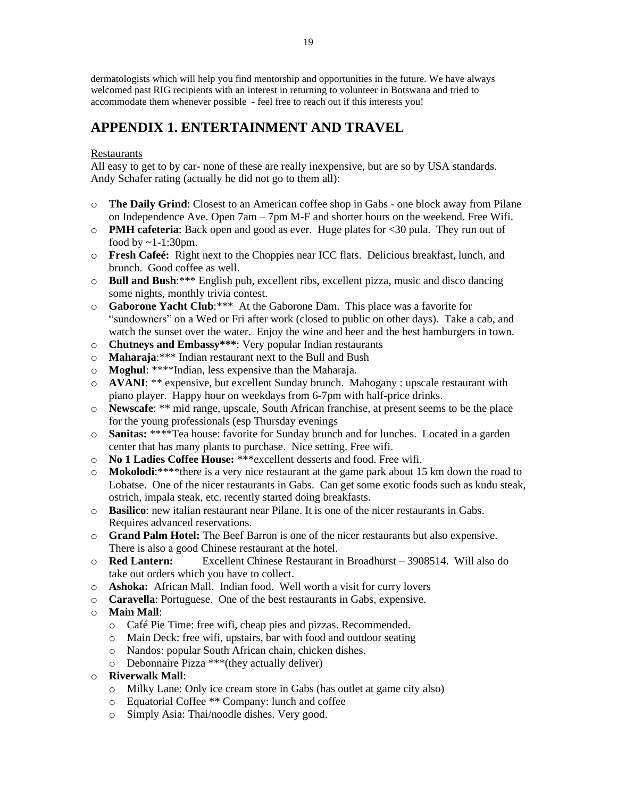dermatologists which will help you find mentorship and opportunities in the future. We have always welcomed past RIG recipients with an interest in returning to volunteer in Botswana and tried to accommodate them whenever possible - feel free to reach out if this interests you!

# **APPENDIX 1. ENTERTAINMENT AND TRAVEL**

### Restaurants

All easy to get to by car- none of these are really inexpensive, but are so by USA standards. Andy Schafer rating (actually he did not go to them all):

- o **The Daily Grind**: Closest to an American coffee shop in Gabs one block away from Pilane on Independence Ave. Open 7am – 7pm M-F and shorter hours on the weekend. Free Wifi.
- o **PMH cafeteria**: Back open and good as ever. Huge plates for <30 pula. They run out of food by  $\sim$ 1-1:30pm.
- o **Fresh Cafeé:** Right next to the Choppies near ICC flats. Delicious breakfast, lunch, and brunch. Good coffee as well.
- o **Bull and Bush**:\*\*\* English pub, excellent ribs, excellent pizza, music and disco dancing some nights, monthly trivia contest.
- o **Gaborone Yacht Club**:\*\*\* At the Gaborone Dam. This place was a favorite for "sundowners" on a Wed or Fri after work (closed to public on other days). Take a cab, and watch the sunset over the water. Enjoy the wine and beer and the best hamburgers in town.
- o **Chutneys and Embassy\*\*\***: Very popular Indian restaurants
- o **Maharaja**:\*\*\* Indian restaurant next to the Bull and Bush
- o **Moghul**: \*\*\*\*Indian, less expensive than the Maharaja.
- o **AVANI**: \*\* expensive, but excellent Sunday brunch. Mahogany : upscale restaurant with piano player. Happy hour on weekdays from 6-7pm with half-price drinks.
- o **Newscafe**: \*\* mid range, upscale, South African franchise, at present seems to be the place for the young professionals (esp Thursday evenings
- o **Sanitas:** \*\*\*\*Tea house: favorite for Sunday brunch and for lunches. Located in a garden center that has many plants to purchase. Nice setting. Free wifi.
- o **No 1 Ladies Coffee House:** \*\*\*excellent desserts and food. Free wifi.
- o **Mokolodi**:\*\*\*\*there is a very nice restaurant at the game park about 15 km down the road to Lobatse. One of the nicer restaurants in Gabs. Can get some exotic foods such as kudu steak, ostrich, impala steak, etc. recently started doing breakfasts.
- o **Basilico**: new italian restaurant near Pilane. It is one of the nicer restaurants in Gabs. Requires advanced reservations.
- o **Grand Palm Hotel:** The Beef Barron is one of the nicer restaurants but also expensive. There is also a good Chinese restaurant at the hotel.
- o **Red Lantern:** Excellent Chinese Restaurant in Broadhurst 3908514. Will also do take out orders which you have to collect.
- o **Ashoka:** African Mall. Indian food. Well worth a visit for curry lovers
- o **Caravella**: Portuguese. One of the best restaurants in Gabs, expensive.

### o **Main Mall**:

- o Café Pie Time: free wifi, cheap pies and pizzas. Recommended.
- o Main Deck: free wifi, upstairs, bar with food and outdoor seating
- o Nandos: popular South African chain, chicken dishes.
- o Debonnaire Pizza \*\*\*(they actually deliver)
- o **Riverwalk Mall**:
	- o Milky Lane: Only ice cream store in Gabs (has outlet at game city also)
	- o Equatorial Coffee \*\* Company: lunch and coffee
	- o Simply Asia: Thai/noodle dishes. Very good.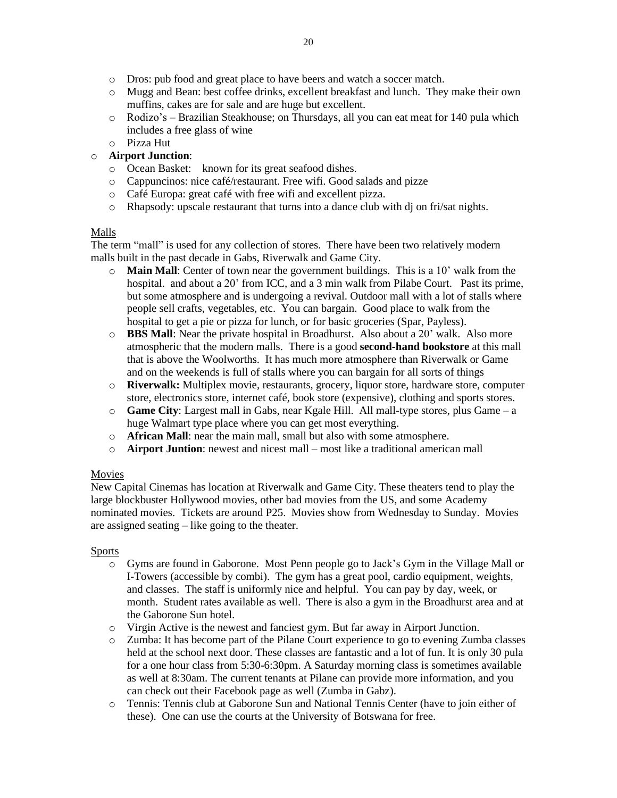- o Dros: pub food and great place to have beers and watch a soccer match.
- o Mugg and Bean: best coffee drinks, excellent breakfast and lunch. They make their own muffins, cakes are for sale and are huge but excellent.
- o Rodizo's Brazilian Steakhouse; on Thursdays, all you can eat meat for 140 pula which includes a free glass of wine
- o Pizza Hut

### o **Airport Junction**:

- o Ocean Basket: known for its great seafood dishes.
- o Cappuncinos: nice café/restaurant. Free wifi. Good salads and pizze
- o Café Europa: great café with free wifi and excellent pizza.
- o Rhapsody: upscale restaurant that turns into a dance club with dj on fri/sat nights.

### Malls

The term "mall" is used for any collection of stores. There have been two relatively modern malls built in the past decade in Gabs, Riverwalk and Game City.

- o **Main Mall**: Center of town near the government buildings. This is a 10' walk from the hospital. and about a 20' from ICC, and a 3 min walk from Pilabe Court. Past its prime, but some atmosphere and is undergoing a revival. Outdoor mall with a lot of stalls where people sell crafts, vegetables, etc. You can bargain. Good place to walk from the hospital to get a pie or pizza for lunch, or for basic groceries (Spar, Payless).
- o **BBS Mall**: Near the private hospital in Broadhurst. Also about a 20' walk. Also more atmospheric that the modern malls. There is a good **second-hand bookstore** at this mall that is above the Woolworths. It has much more atmosphere than Riverwalk or Game and on the weekends is full of stalls where you can bargain for all sorts of things
- o **Riverwalk:** Multiplex movie, restaurants, grocery, liquor store, hardware store, computer store, electronics store, internet café, book store (expensive), clothing and sports stores.
- o **Game City**: Largest mall in Gabs, near Kgale Hill. All mall-type stores, plus Game a huge Walmart type place where you can get most everything.
- o **African Mall**: near the main mall, small but also with some atmosphere.
- o **Airport Juntion**: newest and nicest mall most like a traditional american mall

### Movies

New Capital Cinemas has location at Riverwalk and Game City. These theaters tend to play the large blockbuster Hollywood movies, other bad movies from the US, and some Academy nominated movies. Tickets are around P25. Movies show from Wednesday to Sunday. Movies are assigned seating – like going to the theater.

### Sports

- o Gyms are found in Gaborone. Most Penn people go to Jack's Gym in the Village Mall or I-Towers (accessible by combi). The gym has a great pool, cardio equipment, weights, and classes. The staff is uniformly nice and helpful. You can pay by day, week, or month. Student rates available as well. There is also a gym in the Broadhurst area and at the Gaborone Sun hotel.
- o Virgin Active is the newest and fanciest gym. But far away in Airport Junction.
- o Zumba: It has become part of the Pilane Court experience to go to evening Zumba classes held at the school next door. These classes are fantastic and a lot of fun. It is only 30 pula for a one hour class from 5:30-6:30pm. A Saturday morning class is sometimes available as well at 8:30am. The current tenants at Pilane can provide more information, and you can check out their Facebook page as well (Zumba in Gabz).
- o Tennis: Tennis club at Gaborone Sun and National Tennis Center (have to join either of these). One can use the courts at the University of Botswana for free.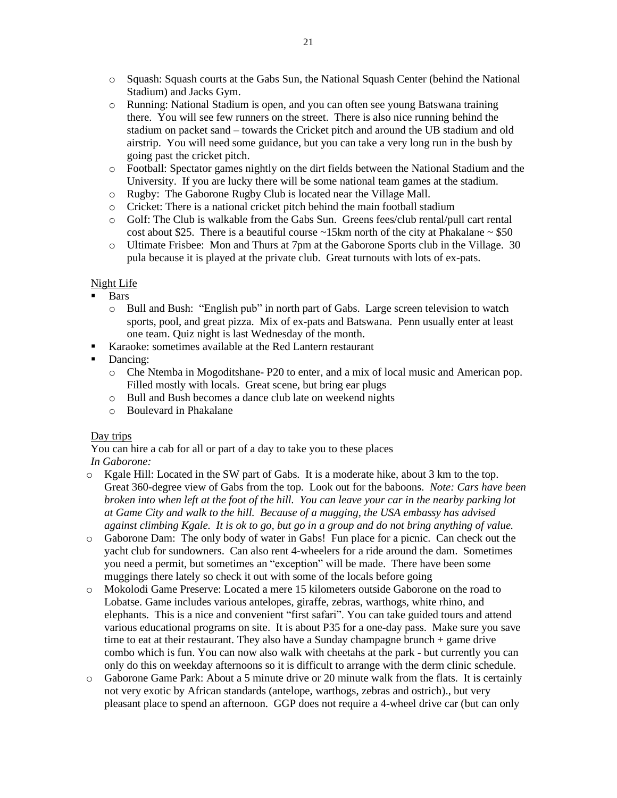- o Squash: Squash courts at the Gabs Sun, the National Squash Center (behind the National Stadium) and Jacks Gym.
- o Running: National Stadium is open, and you can often see young Batswana training there. You will see few runners on the street. There is also nice running behind the stadium on packet sand – towards the Cricket pitch and around the UB stadium and old airstrip. You will need some guidance, but you can take a very long run in the bush by going past the cricket pitch.
- o Football: Spectator games nightly on the dirt fields between the National Stadium and the University. If you are lucky there will be some national team games at the stadium.
- o Rugby: The Gaborone Rugby Club is located near the Village Mall.
- o Cricket: There is a national cricket pitch behind the main football stadium
- o Golf: The Club is walkable from the Gabs Sun. Greens fees/club rental/pull cart rental cost about \$25. There is a beautiful course  $\sim$ 15km north of the city at Phakalane  $\sim$  \$50
- o Ultimate Frisbee: Mon and Thurs at 7pm at the Gaborone Sports club in the Village. 30 pula because it is played at the private club. Great turnouts with lots of ex-pats.

### Night Life

- **Bars** 
	- o Bull and Bush: "English pub" in north part of Gabs. Large screen television to watch sports, pool, and great pizza. Mix of ex-pats and Batswana. Penn usually enter at least one team. Quiz night is last Wednesday of the month.
- Karaoke: sometimes available at the Red Lantern restaurant
- Dancing:
	- o Che Ntemba in Mogoditshane- P20 to enter, and a mix of local music and American pop. Filled mostly with locals. Great scene, but bring ear plugs
	- o Bull and Bush becomes a dance club late on weekend nights
	- o Boulevard in Phakalane

### Day trips

You can hire a cab for all or part of a day to take you to these places *In Gaborone:*

- o Kgale Hill: Located in the SW part of Gabs. It is a moderate hike, about 3 km to the top. Great 360-degree view of Gabs from the top. Look out for the baboons. *Note: Cars have been* broken into when left at the foot of the hill. You can leave your car in the nearby parking lot *at Game City and walk to the hill. Because of a mugging, the USA embassy has advised* against climbing Kgale. It is ok to go, but go in a group and do not bring anything of value.
- o Gaborone Dam: The only body of water in Gabs! Fun place for a picnic. Can check out the yacht club for sundowners. Can also rent 4-wheelers for a ride around the dam. Sometimes you need a permit, but sometimes an "exception" will be made. There have been some muggings there lately so check it out with some of the locals before going
- o Mokolodi Game Preserve: Located a mere 15 kilometers outside Gaborone on the road to Lobatse. Game includes various antelopes, giraffe, zebras, warthogs, white rhino, and elephants. This is a nice and convenient "first safari". You can take guided tours and attend various educational programs on site. It is about P35 for a one-day pass. Make sure you save time to eat at their restaurant. They also have a Sunday champagne brunch + game drive combo which is fun. You can now also walk with cheetahs at the park - but currently you can only do this on weekday afternoons so it is difficult to arrange with the derm clinic schedule.
- $\circ$  Gaborone Game Park: About a 5 minute drive or 20 minute walk from the flats. It is certainly not very exotic by African standards (antelope, warthogs, zebras and ostrich)., but very pleasant place to spend an afternoon. GGP does not require a 4-wheel drive car (but can only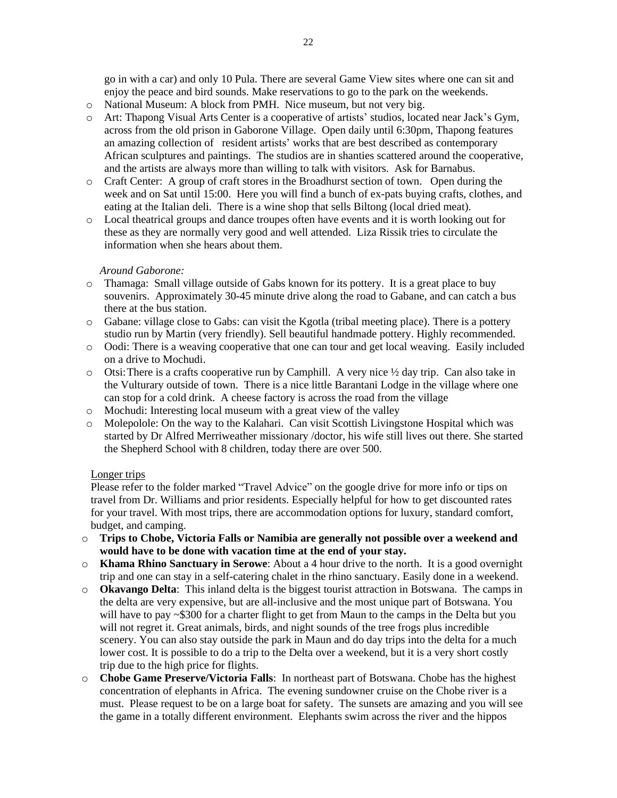go in with a car) and only 10 Pula. There are several Game View sites where one can sit and enjoy the peace and bird sounds. Make reservations to go to the park on the weekends.

- o National Museum: A block from PMH. Nice museum, but not very big.
- o Art: Thapong Visual Arts Center is a cooperative of artists' studios, located near Jack's Gym, across from the old prison in Gaborone Village. Open daily until 6:30pm, Thapong features an amazing collection of resident artists' works that are best described as contemporary African sculptures and paintings. The studios are in shanties scattered around the cooperative, and the artists are always more than willing to talk with visitors. Ask for Barnabus.
- o Craft Center: A group of craft stores in the Broadhurst section of town. Open during the week and on Sat until 15:00. Here you will find a bunch of ex-pats buying crafts, clothes, and eating at the Italian deli. There is a wine shop that sells Biltong (local dried meat).
- o Local theatrical groups and dance troupes often have events and it is worth looking out for these as they are normally very good and well attended. Liza Rissik tries to circulate the information when she hears about them.

#### *Around Gaborone:*

- o Thamaga: Small village outside of Gabs known for its pottery. It is a great place to buy souvenirs. Approximately 30-45 minute drive along the road to Gabane, and can catch a bus there at the bus station.
- o Gabane: village close to Gabs: can visit the Kgotla (tribal meeting place). There is a pottery studio run by Martin (very friendly). Sell beautiful handmade pottery. Highly recommended.
- o Oodi: There is a weaving cooperative that one can tour and get local weaving. Easily included on a drive to Mochudi.
- o Otsi:There is a crafts cooperative run by Camphill. A very nice ½ day trip. Can also take in the Vulturary outside of town. There is a nice little Barantani Lodge in the village where one can stop for a cold drink. A cheese factory is across the road from the village
- o Mochudi: Interesting local museum with a great view of the valley
- o Molepolole: On the way to the Kalahari. Can visit Scottish Livingstone Hospital which was started by Dr Alfred Merriweather missionary /doctor, his wife still lives out there. She started the Shepherd School with 8 children, today there are over 500.

#### Longer trips

Please refer to the folder marked "Travel Advice" on the google drive for more info or tips on travel from Dr. Williams and prior residents. Especially helpful for how to get discounted rates for your travel. With most trips, there are accommodation options for luxury, standard comfort, budget, and camping.

- o **Trips to Chobe, Victoria Falls or Namibia are generally not possible over a weekend and would have to be done with vacation time at the end of your stay.**
- o **Khama Rhino Sanctuary in Serowe**: About a 4 hour drive to the north. It is a good overnight trip and one can stay in a self-catering chalet in the rhino sanctuary. Easily done in a weekend.
- o **Okavango Delta**: This inland delta is the biggest tourist attraction in Botswana. The camps in the delta are very expensive, but are all-inclusive and the most unique part of Botswana. You will have to pay ~\$300 for a charter flight to get from Maun to the camps in the Delta but you will not regret it. Great animals, birds, and night sounds of the tree frogs plus incredible scenery. You can also stay outside the park in Maun and do day trips into the delta for a much lower cost. It is possible to do a trip to the Delta over a weekend, but it is a very short costly trip due to the high price for flights.
- o **Chobe Game Preserve/Victoria Falls**: In northeast part of Botswana. Chobe has the highest concentration of elephants in Africa. The evening sundowner cruise on the Chobe river is a must. Please request to be on a large boat for safety. The sunsets are amazing and you will see the game in a totally different environment. Elephants swim across the river and the hippos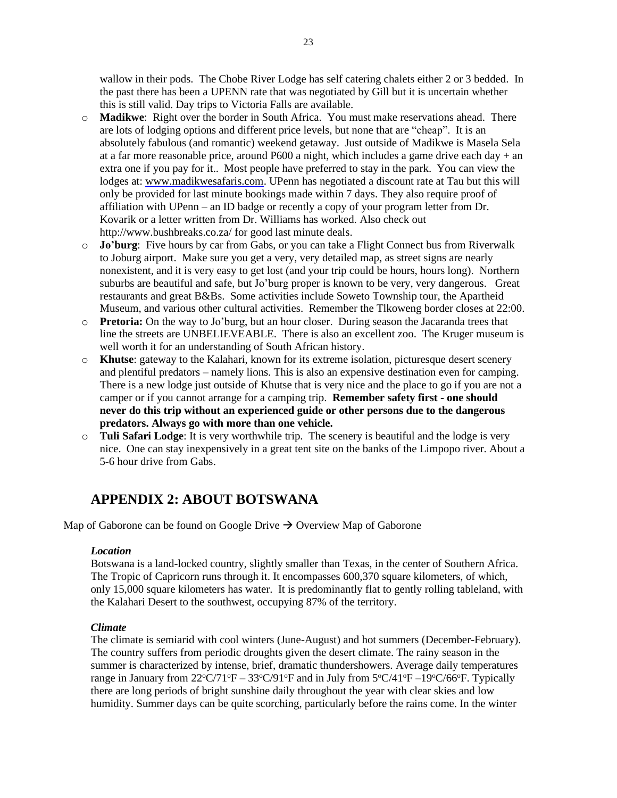wallow in their pods. The Chobe River Lodge has self catering chalets either 2 or 3 bedded. In the past there has been a UPENN rate that was negotiated by Gill but it is uncertain whether this is still valid. Day trips to Victoria Falls are available.

- o **Madikwe**: Right over the border in South Africa. You must make reservations ahead. There are lots of lodging options and different price levels, but none that are "cheap". It is an absolutely fabulous (and romantic) weekend getaway. Just outside of Madikwe is Masela Sela at a far more reasonable price, around P600 a night, which includes a game drive each day + an extra one if you pay for it.. Most people have preferred to stay in the park. You can view the lodges at: [www.madikwesafaris.com.](http://www.madikwesafaris.com/) UPenn has negotiated a discount rate at Tau but this will only be provided for last minute bookings made within 7 days. They also require proof of affiliation with UPenn – an ID badge or recently a copy of your program letter from Dr. Kovarik or a letter written from Dr. Williams has worked. Also check out http://www.bushbreaks.co.za/ for good last minute deals.
- o **Jo'burg**: Five hours by car from Gabs, or you can take a Flight Connect bus from Riverwalk to Joburg airport. Make sure you get a very, very detailed map, as street signs are nearly nonexistent, and it is very easy to get lost (and your trip could be hours, hours long). Northern suburbs are beautiful and safe, but Jo'burg proper is known to be very, very dangerous. Great restaurants and great B&Bs. Some activities include Soweto Township tour, the Apartheid Museum, and various other cultural activities. Remember the Tlkoweng border closes at 22:00.
- o **Pretoria:** On the way to Jo'burg, but an hour closer. During season the Jacaranda trees that line the streets are UNBELIEVEABLE. There is also an excellent zoo. The Kruger museum is well worth it for an understanding of South African history.
- o **Khutse**: gateway to the Kalahari, known for its extreme isolation, picturesque desert scenery and plentiful predators – namely lions. This is also an expensive destination even for camping. There is a new lodge just outside of Khutse that is very nice and the place to go if you are not a camper or if you cannot arrange for a camping trip. **Remember safety first - one should never do this trip without an experienced guide or other persons due to the dangerous predators. Always go with more than one vehicle.**
- o **Tuli Safari Lodge**: It is very worthwhile trip. The scenery is beautiful and the lodge is very nice. One can stay inexpensively in a great tent site on the banks of the Limpopo river. About a 5-6 hour drive from Gabs.

# **APPENDIX 2: ABOUT BOTSWANA**

Map of Gaborone can be found on Google Drive  $\rightarrow$  Overview Map of Gaborone

### *Location*

Botswana is a land-locked country, slightly smaller than Texas, in the center of Southern Africa. The Tropic of Capricorn runs through it. It encompasses 600,370 square kilometers, of which, only 15,000 square kilometers has water. It is predominantly flat to gently rolling tableland, with the Kalahari Desert to the southwest, occupying 87% of the territory.

#### *Climate*

The climate is semiarid with cool winters (June-August) and hot summers (December-February). The country suffers from periodic droughts given the desert climate. The rainy season in the summer is characterized by intense, brief, dramatic thundershowers. Average daily temperatures range in January from  $22^{\circ}C/71^{\circ}F - 33^{\circ}C/91^{\circ}F$  and in July from  $5^{\circ}C/41^{\circ}F - 19^{\circ}C/66^{\circ}F$ . Typically there are long periods of bright sunshine daily throughout the year with clear skies and low humidity. Summer days can be quite scorching, particularly before the rains come. In the winter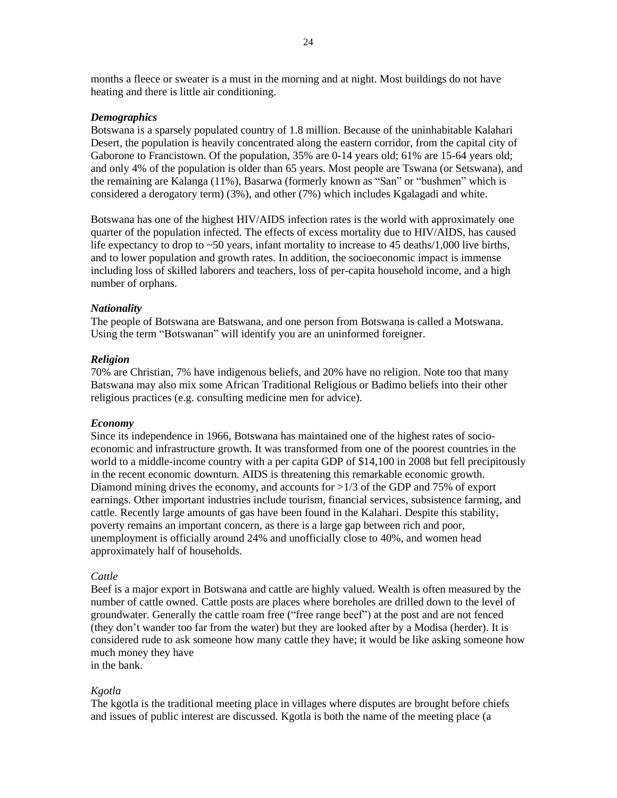months a fleece or sweater is a must in the morning and at night. Most buildings do not have heating and there is little air conditioning.

#### *Demographics*

Botswana is a sparsely populated country of 1.8 million. Because of the uninhabitable Kalahari Desert, the population is heavily concentrated along the eastern corridor, from the capital city of Gaborone to Francistown. Of the population, 35% are 0-14 years old; 61% are 15-64 years old; and only 4% of the population is older than 65 years. Most people are Tswana (or Setswana), and the remaining are Kalanga (11%), Basarwa (formerly known as "San" or "bushmen" which is considered a derogatory term) (3%), and other (7%) which includes Kgalagadi and white.

Botswana has one of the highest HIV/AIDS infection rates is the world with approximately one quarter of the population infected. The effects of excess mortality due to HIV/AIDS, has caused life expectancy to drop to ~50 years, infant mortality to increase to 45 deaths/1,000 live births, and to lower population and growth rates. In addition, the socioeconomic impact is immense including loss of skilled laborers and teachers, loss of per-capita household income, and a high number of orphans.

#### *Nationality*

The people of Botswana are Batswana, and one person from Botswana is called a Motswana. Using the term "Botswanan" will identify you are an uninformed foreigner.

#### *Religion*

70% are Christian, 7% have indigenous beliefs, and 20% have no religion. Note too that many Batswana may also mix some African Traditional Religious or Badimo beliefs into their other religious practices (e.g. consulting medicine men for advice).

#### *Economy*

Since its independence in 1966, Botswana has maintained one of the highest rates of socioeconomic and infrastructure growth. It was transformed from one of the poorest countries in the world to a middle-income country with a per capita GDP of \$14,100 in 2008 but fell precipitously in the recent economic downturn. AIDS is threatening this remarkable economic growth. Diamond mining drives the economy, and accounts for >1/3 of the GDP and 75% of export earnings. Other important industries include tourism, financial services, subsistence farming, and cattle. Recently large amounts of gas have been found in the Kalahari. Despite this stability, poverty remains an important concern, as there is a large gap between rich and poor, unemployment is officially around 24% and unofficially close to 40%, and women head approximately half of households.

#### *Cattle*

Beef is a major export in Botswana and cattle are highly valued. Wealth is often measured by the number of cattle owned. Cattle posts are places where boreholes are drilled down to the level of groundwater. Generally the cattle roam free ("free range beef") at the post and are not fenced (they don't wander too far from the water) but they are looked after by a Modisa (herder). It is considered rude to ask someone how many cattle they have; it would be like asking someone how much money they have

in the bank.

#### *Kgotla*

The kgotla is the traditional meeting place in villages where disputes are brought before chiefs and issues of public interest are discussed. Kgotla is both the name of the meeting place (a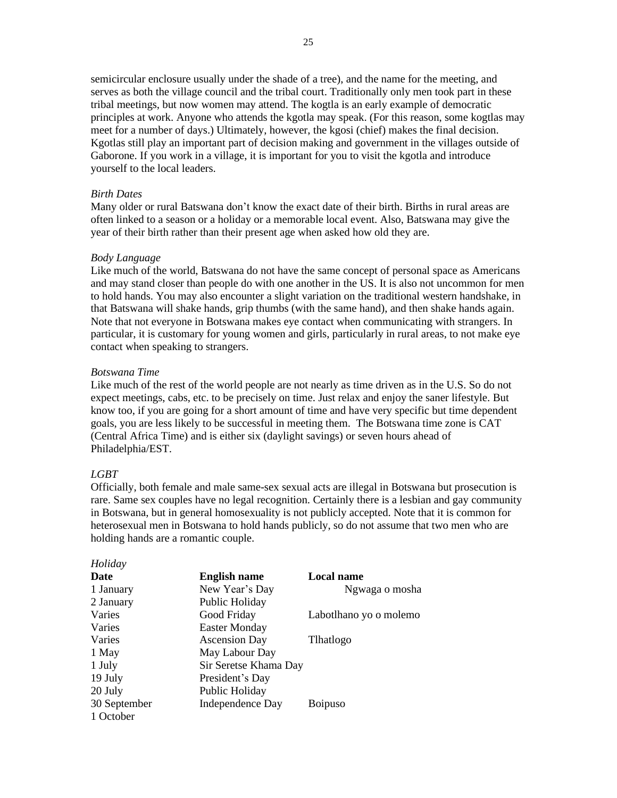semicircular enclosure usually under the shade of a tree), and the name for the meeting, and serves as both the village council and the tribal court. Traditionally only men took part in these tribal meetings, but now women may attend. The kogtla is an early example of democratic principles at work. Anyone who attends the kgotla may speak. (For this reason, some kogtlas may meet for a number of days.) Ultimately, however, the kgosi (chief) makes the final decision. Kgotlas still play an important part of decision making and government in the villages outside of Gaborone. If you work in a village, it is important for you to visit the kgotla and introduce yourself to the local leaders.

#### *Birth Dates*

Many older or rural Batswana don't know the exact date of their birth. Births in rural areas are often linked to a season or a holiday or a memorable local event. Also, Batswana may give the year of their birth rather than their present age when asked how old they are.

#### *Body Language*

Like much of the world, Batswana do not have the same concept of personal space as Americans and may stand closer than people do with one another in the US. It is also not uncommon for men to hold hands. You may also encounter a slight variation on the traditional western handshake, in that Batswana will shake hands, grip thumbs (with the same hand), and then shake hands again. Note that not everyone in Botswana makes eye contact when communicating with strangers. In particular, it is customary for young women and girls, particularly in rural areas, to not make eye contact when speaking to strangers.

#### *Botswana Time*

Like much of the rest of the world people are not nearly as time driven as in the U.S. So do not expect meetings, cabs, etc. to be precisely on time. Just relax and enjoy the saner lifestyle. But know too, if you are going for a short amount of time and have very specific but time dependent goals, you are less likely to be successful in meeting them. The Botswana time zone is CAT (Central Africa Time) and is either six (daylight savings) or seven hours ahead of Philadelphia/EST.

#### *LGBT*

*Holiday*

Officially, both female and male same-sex sexual acts are illegal in Botswana but prosecution is rare. Same sex couples have no legal recognition. Certainly there is a lesbian and gay community in Botswana, but in general homosexuality is not publicly accepted. Note that it is common for heterosexual men in Botswana to hold hands publicly, so do not assume that two men who are holding hands are a romantic couple.

| Holiday      |                       |                       |
|--------------|-----------------------|-----------------------|
| <b>Date</b>  | <b>English name</b>   | <b>Local name</b>     |
| 1 January    | New Year's Day        | Ngwaga o mosha        |
| 2 January    | Public Holiday        |                       |
| Varies       | Good Friday           | Labothano yo o molemo |
| Varies       | <b>Easter Monday</b>  |                       |
| Varies       | <b>Ascension Day</b>  | Thatlogo              |
| 1 May        | May Labour Day        |                       |
| 1 July       | Sir Seretse Khama Day |                       |
| 19 July      | President's Day       |                       |
| 20 July      | Public Holiday        |                       |
| 30 September | Independence Day      | <b>Boipuso</b>        |
| 1 October    |                       |                       |
|              |                       |                       |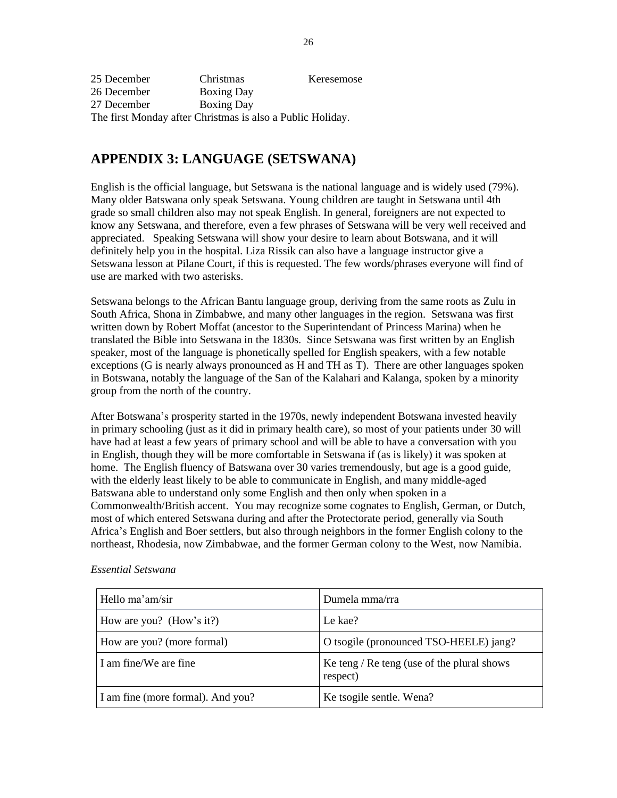| 25 December | Christmas                                                  | Keresemose |
|-------------|------------------------------------------------------------|------------|
| 26 December | <b>Boxing Day</b>                                          |            |
| 27 December | <b>Boxing Day</b>                                          |            |
|             | The first Monday after Christmas is also a Public Holiday. |            |

# **APPENDIX 3: LANGUAGE (SETSWANA)**

English is the official language, but Setswana is the national language and is widely used (79%). Many older Batswana only speak Setswana. Young children are taught in Setswana until 4th grade so small children also may not speak English. In general, foreigners are not expected to know any Setswana, and therefore, even a few phrases of Setswana will be very well received and appreciated. Speaking Setswana will show your desire to learn about Botswana, and it will definitely help you in the hospital. Liza Rissik can also have a language instructor give a Setswana lesson at Pilane Court, if this is requested. The few words/phrases everyone will find of use are marked with two asterisks.

Setswana belongs to the African Bantu language group, deriving from the same roots as Zulu in South Africa, Shona in Zimbabwe, and many other languages in the region. Setswana was first written down by Robert Moffat (ancestor to the Superintendant of Princess Marina) when he translated the Bible into Setswana in the 1830s. Since Setswana was first written by an English speaker, most of the language is phonetically spelled for English speakers, with a few notable exceptions (G is nearly always pronounced as H and TH as T). There are other languages spoken in Botswana, notably the language of the San of the Kalahari and Kalanga, spoken by a minority group from the north of the country.

After Botswana's prosperity started in the 1970s, newly independent Botswana invested heavily in primary schooling (just as it did in primary health care), so most of your patients under 30 will have had at least a few years of primary school and will be able to have a conversation with you in English, though they will be more comfortable in Setswana if (as is likely) it was spoken at home. The English fluency of Batswana over 30 varies tremendously, but age is a good guide, with the elderly least likely to be able to communicate in English, and many middle-aged Batswana able to understand only some English and then only when spoken in a Commonwealth/British accent. You may recognize some cognates to English, German, or Dutch, most of which entered Setswana during and after the Protectorate period, generally via South Africa's English and Boer settlers, but also through neighbors in the former English colony to the northeast, Rhodesia, now Zimbabwae, and the former German colony to the West, now Namibia.

| Hello ma'am/sir                   | Dumela mma/rra                                         |
|-----------------------------------|--------------------------------------------------------|
| How are you? (How's it?)          | Le kae?                                                |
| How are you? (more formal)        | O tsogile (pronounced TSO-HEELE) jang?                 |
| I am fine/We are fine             | Ke teng / Re teng (use of the plural shows<br>respect) |
| I am fine (more formal). And you? | Ke tsogile sentle. Wena?                               |

#### *Essential Setswana*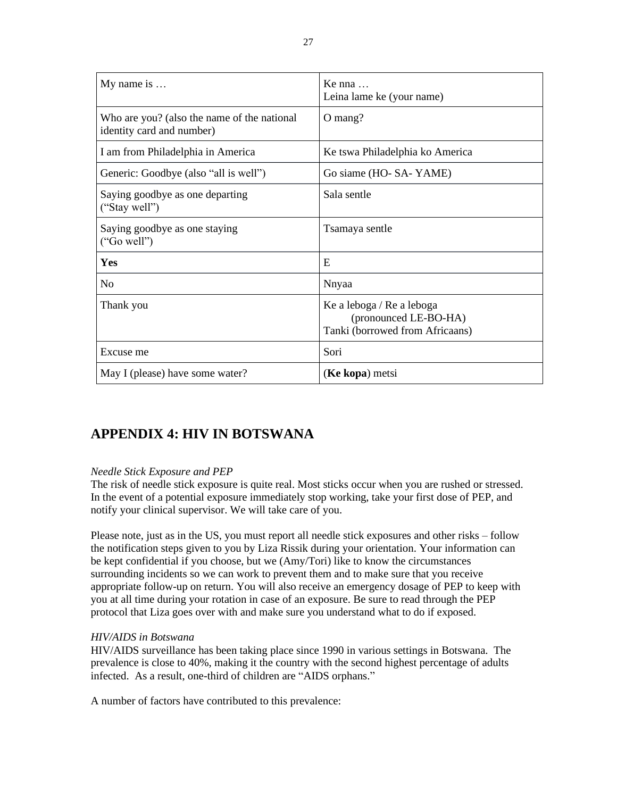| My name is $\dots$                                                       | Ke nna<br>Leina lame ke (your name)                                                   |
|--------------------------------------------------------------------------|---------------------------------------------------------------------------------------|
| Who are you? (also the name of the national<br>identity card and number) | O mang?                                                                               |
| I am from Philadelphia in America                                        | Ke tswa Philadelphia ko America                                                       |
| Generic: Goodbye (also "all is well")                                    | Go siame (HO- SA- YAME)                                                               |
| Saying goodbye as one departing<br>("Stay well")                         | Sala sentle                                                                           |
| Saying goodbye as one staying<br>("Go well")                             | Tsamaya sentle                                                                        |
| Yes                                                                      | E                                                                                     |
| N <sub>0</sub>                                                           | Nnyaa                                                                                 |
| Thank you                                                                | Ke a leboga / Re a leboga<br>(pronounced LE-BO-HA)<br>Tanki (borrowed from Africaans) |
| Excuse me                                                                | Sori                                                                                  |
| May I (please) have some water?                                          | (Ke kopa) metsi                                                                       |

# **APPENDIX 4: HIV IN BOTSWANA**

### *Needle Stick Exposure and PEP*

The risk of needle stick exposure is quite real. Most sticks occur when you are rushed or stressed. In the event of a potential exposure immediately stop working, take your first dose of PEP, and notify your clinical supervisor. We will take care of you.

Please note, just as in the US, you must report all needle stick exposures and other risks – follow the notification steps given to you by Liza Rissik during your orientation. Your information can be kept confidential if you choose, but we (Amy/Tori) like to know the circumstances surrounding incidents so we can work to prevent them and to make sure that you receive appropriate follow-up on return. You will also receive an emergency dosage of PEP to keep with you at all time during your rotation in case of an exposure. Be sure to read through the PEP protocol that Liza goes over with and make sure you understand what to do if exposed.

### *HIV/AIDS in Botswana*

HIV/AIDS surveillance has been taking place since 1990 in various settings in Botswana. The prevalence is close to 40%, making it the country with the second highest percentage of adults infected. As a result, one-third of children are "AIDS orphans."

A number of factors have contributed to this prevalence: